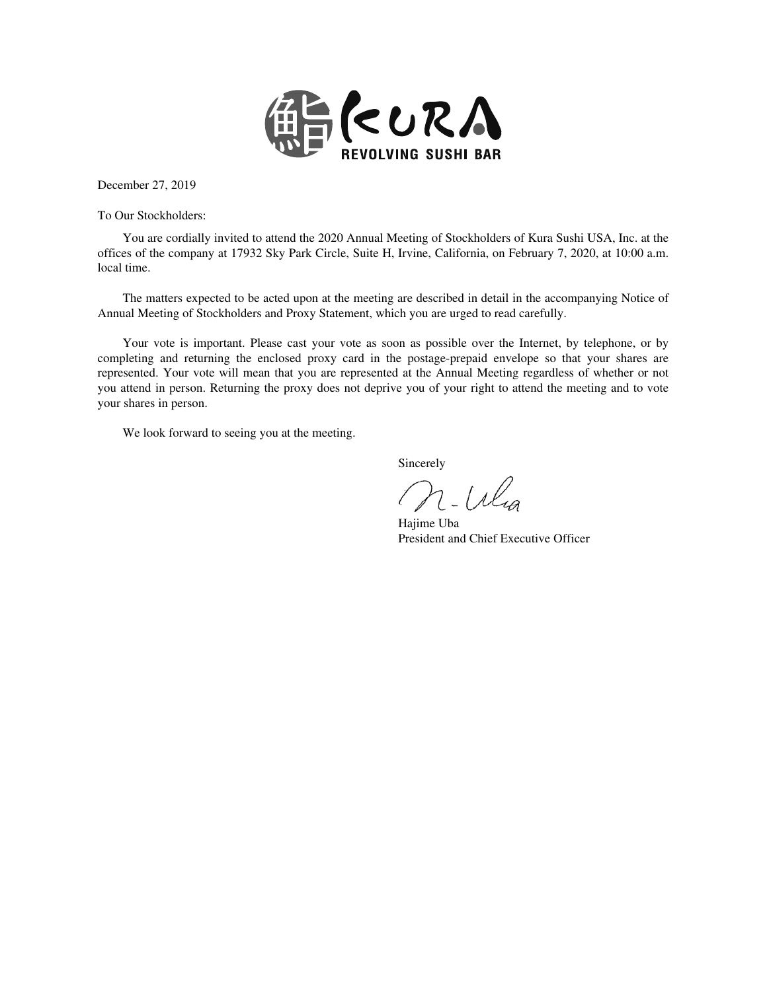

December 27, 2019

To Our Stockholders:

You are cordially invited to attend the 2020 Annual Meeting of Stockholders of Kura Sushi USA, Inc. at the offices of the company at 17932 Sky Park Circle, Suite H, Irvine, California, on February 7, 2020, at 10:00 a.m. local time.

The matters expected to be acted upon at the meeting are described in detail in the accompanying Notice of Annual Meeting of Stockholders and Proxy Statement, which you are urged to read carefully.

Your vote is important. Please cast your vote as soon as possible over the Internet, by telephone, or by completing and returning the enclosed proxy card in the postage-prepaid envelope so that your shares are represented. Your vote will mean that you are represented at the Annual Meeting regardless of whether or not you attend in person. Returning the proxy does not deprive you of your right to attend the meeting and to vote your shares in person.

We look forward to seeing you at the meeting.

Sincerely

 $2-l$ lg

Hajime Uba President and Chief Executive Officer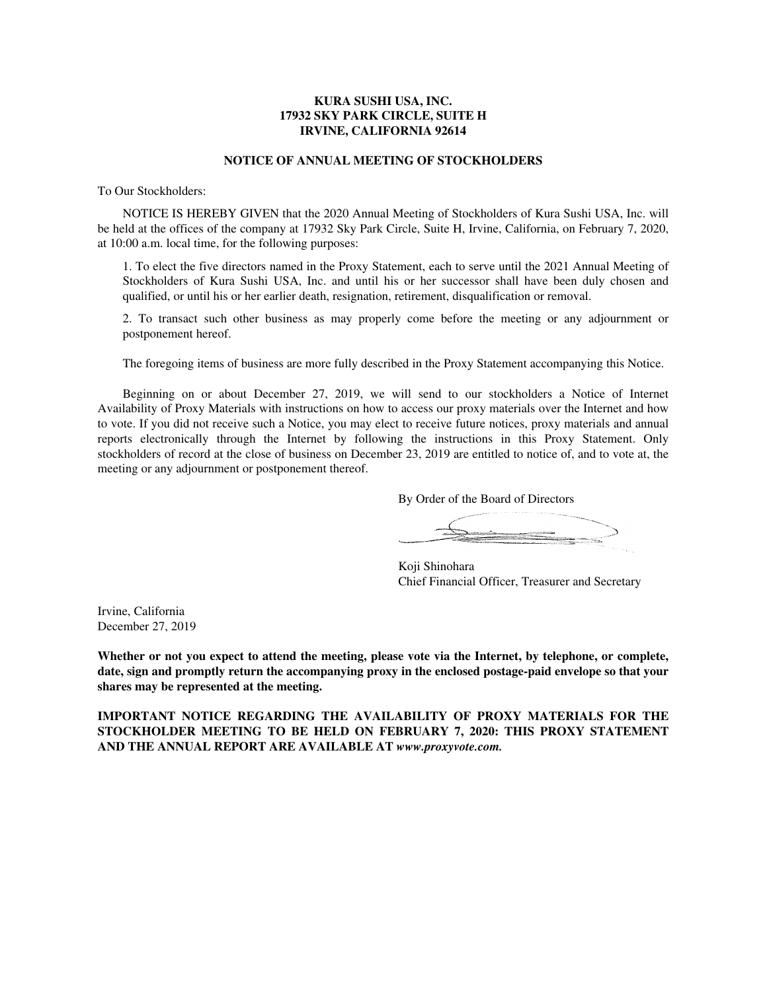# **KURA SUSHI USA, INC. 17932 SKY PARK CIRCLE, SUITE H IRVINE, CALIFORNIA 92614**

# **NOTICE OF ANNUAL MEETING OF STOCKHOLDERS**

To Our Stockholders:

NOTICE IS HEREBY GIVEN that the 2020 Annual Meeting of Stockholders of Kura Sushi USA, Inc. will be held at the offices of the company at 17932 Sky Park Circle, Suite H, Irvine, California, on February 7, 2020, at 10:00 a.m. local time, for the following purposes:

1. To elect the five directors named in the Proxy Statement, each to serve until the 2021 Annual Meeting of Stockholders of Kura Sushi USA, Inc. and until his or her successor shall have been duly chosen and qualified, or until his or her earlier death, resignation, retirement, disqualification or removal.

2. To transact such other business as may properly come before the meeting or any adjournment or postponement hereof.

The foregoing items of business are more fully described in the Proxy Statement accompanying this Notice.

Beginning on or about December 27, 2019, we will send to our stockholders a Notice of Internet Availability of Proxy Materials with instructions on how to access our proxy materials over the Internet and how to vote. If you did not receive such a Notice, you may elect to receive future notices, proxy materials and annual reports electronically through the Internet by following the instructions in this Proxy Statement. Only stockholders of record at the close of business on December 23, 2019 are entitled to notice of, and to vote at, the meeting or any adjournment or postponement thereof.

By Order of the Board of Directors

Koji Shinohara Chief Financial Officer, Treasurer and Secretary

Irvine, California December 27, 2019

**Whether or not you expect to attend the meeting, please vote via the Internet, by telephone, or complete, date, sign and promptly return the accompanying proxy in the enclosed postage-paid envelope so that your shares may be represented at the meeting.**

**IMPORTANT NOTICE REGARDING THE AVAILABILITY OF PROXY MATERIALS FOR THE STOCKHOLDER MEETING TO BE HELD ON FEBRUARY 7, 2020: THIS PROXY STATEMENT AND THE ANNUAL REPORT ARE AVAILABLE AT** *www.proxyvote.com.*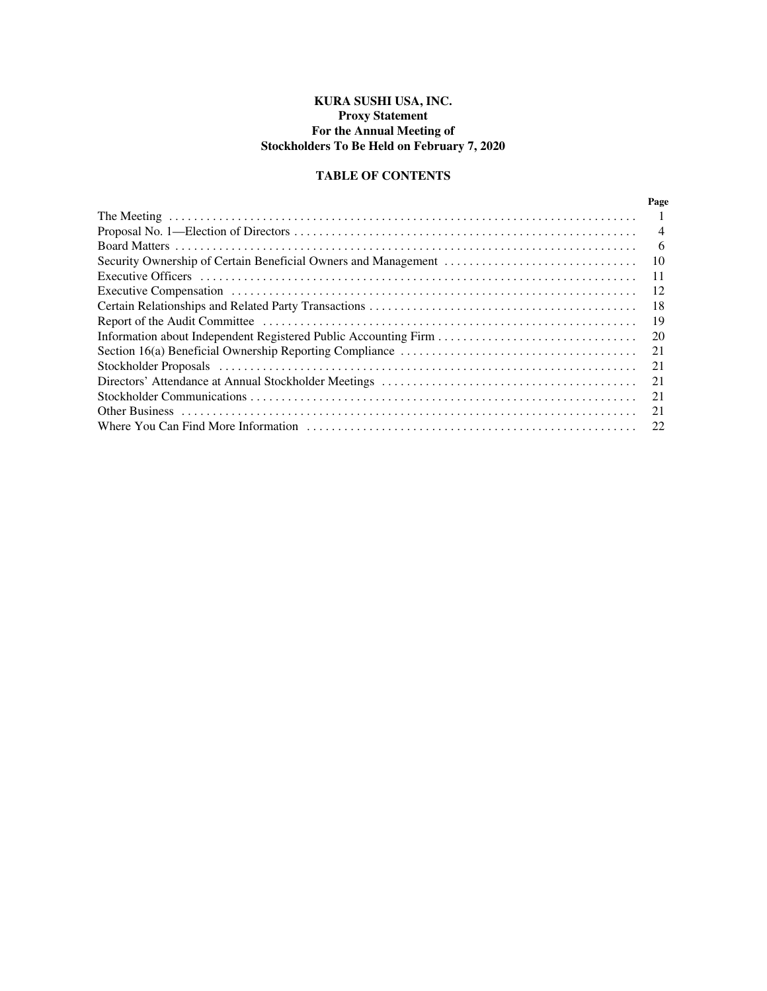# **KURA SUSHI USA, INC. Proxy Statement For the Annual Meeting of Stockholders To Be Held on February 7, 2020**

# **TABLE OF CONTENTS**

| Page           |
|----------------|
|                |
| $\overline{4}$ |
| 6              |
| 10             |
| 11             |
| 12             |
| 18             |
| 19             |
| 20             |
| 21             |
| 21             |
| 21             |
| 21             |
| 21             |
| 22             |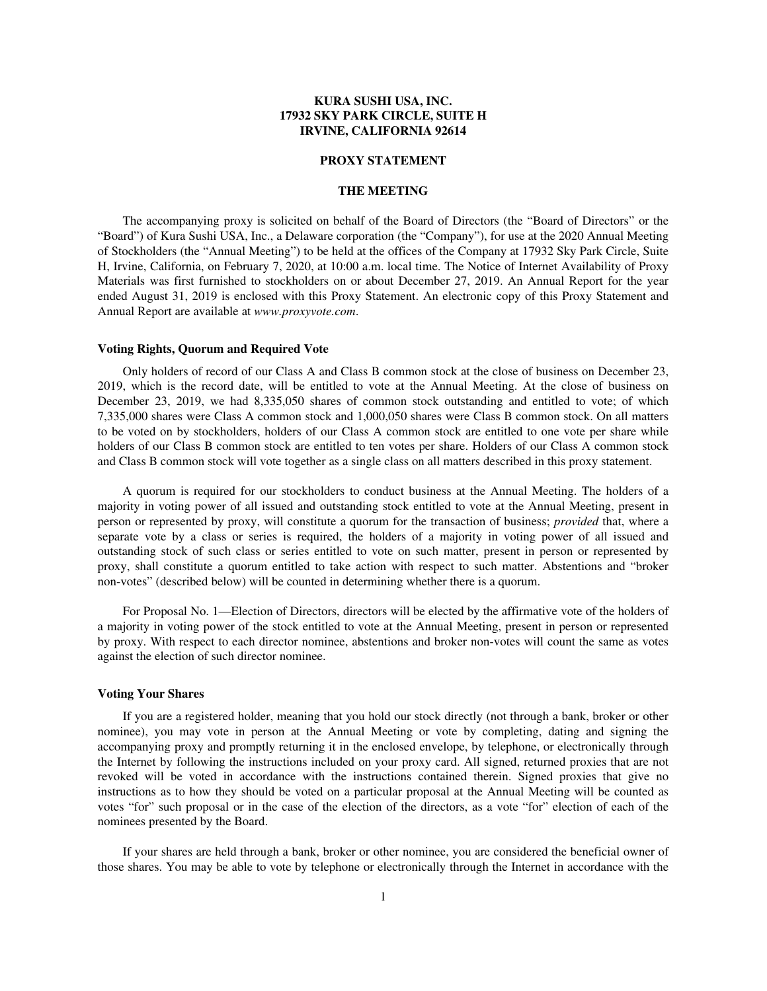# **KURA SUSHI USA, INC. 17932 SKY PARK CIRCLE, SUITE H IRVINE, CALIFORNIA 92614**

### **PROXY STATEMENT**

## **THE MEETING**

The accompanying proxy is solicited on behalf of the Board of Directors (the "Board of Directors" or the "Board") of Kura Sushi USA, Inc., a Delaware corporation (the "Company"), for use at the 2020 Annual Meeting of Stockholders (the "Annual Meeting") to be held at the offices of the Company at 17932 Sky Park Circle, Suite H, Irvine, California, on February 7, 2020, at 10:00 a.m. local time. The Notice of Internet Availability of Proxy Materials was first furnished to stockholders on or about December 27, 2019. An Annual Report for the year ended August 31, 2019 is enclosed with this Proxy Statement. An electronic copy of this Proxy Statement and Annual Report are available at *www.proxyvote.com*.

### **Voting Rights, Quorum and Required Vote**

Only holders of record of our Class A and Class B common stock at the close of business on December 23, 2019, which is the record date, will be entitled to vote at the Annual Meeting. At the close of business on December 23, 2019, we had 8,335,050 shares of common stock outstanding and entitled to vote; of which 7,335,000 shares were Class A common stock and 1,000,050 shares were Class B common stock. On all matters to be voted on by stockholders, holders of our Class A common stock are entitled to one vote per share while holders of our Class B common stock are entitled to ten votes per share. Holders of our Class A common stock and Class B common stock will vote together as a single class on all matters described in this proxy statement.

A quorum is required for our stockholders to conduct business at the Annual Meeting. The holders of a majority in voting power of all issued and outstanding stock entitled to vote at the Annual Meeting, present in person or represented by proxy, will constitute a quorum for the transaction of business; *provided* that, where a separate vote by a class or series is required, the holders of a majority in voting power of all issued and outstanding stock of such class or series entitled to vote on such matter, present in person or represented by proxy, shall constitute a quorum entitled to take action with respect to such matter. Abstentions and "broker non-votes" (described below) will be counted in determining whether there is a quorum.

For Proposal No. 1—Election of Directors, directors will be elected by the affirmative vote of the holders of a majority in voting power of the stock entitled to vote at the Annual Meeting, present in person or represented by proxy. With respect to each director nominee, abstentions and broker non-votes will count the same as votes against the election of such director nominee.

## **Voting Your Shares**

If you are a registered holder, meaning that you hold our stock directly (not through a bank, broker or other nominee), you may vote in person at the Annual Meeting or vote by completing, dating and signing the accompanying proxy and promptly returning it in the enclosed envelope, by telephone, or electronically through the Internet by following the instructions included on your proxy card. All signed, returned proxies that are not revoked will be voted in accordance with the instructions contained therein. Signed proxies that give no instructions as to how they should be voted on a particular proposal at the Annual Meeting will be counted as votes "for" such proposal or in the case of the election of the directors, as a vote "for" election of each of the nominees presented by the Board.

If your shares are held through a bank, broker or other nominee, you are considered the beneficial owner of those shares. You may be able to vote by telephone or electronically through the Internet in accordance with the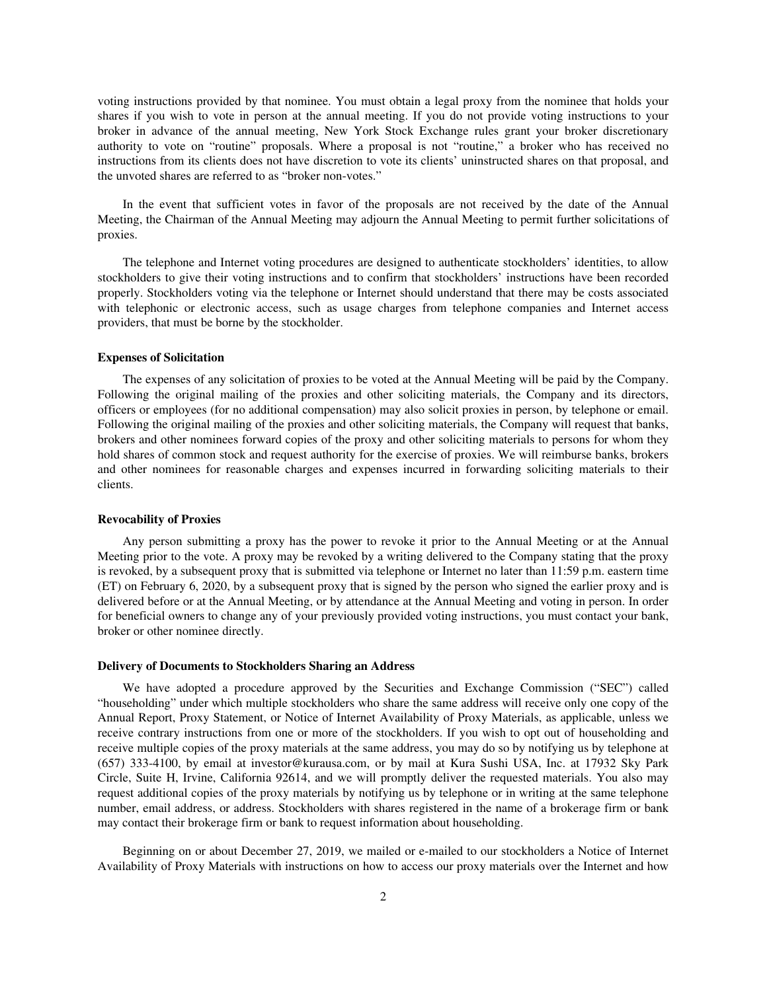voting instructions provided by that nominee. You must obtain a legal proxy from the nominee that holds your shares if you wish to vote in person at the annual meeting. If you do not provide voting instructions to your broker in advance of the annual meeting, New York Stock Exchange rules grant your broker discretionary authority to vote on "routine" proposals. Where a proposal is not "routine," a broker who has received no instructions from its clients does not have discretion to vote its clients' uninstructed shares on that proposal, and the unvoted shares are referred to as "broker non-votes."

In the event that sufficient votes in favor of the proposals are not received by the date of the Annual Meeting, the Chairman of the Annual Meeting may adjourn the Annual Meeting to permit further solicitations of proxies.

The telephone and Internet voting procedures are designed to authenticate stockholders' identities, to allow stockholders to give their voting instructions and to confirm that stockholders' instructions have been recorded properly. Stockholders voting via the telephone or Internet should understand that there may be costs associated with telephonic or electronic access, such as usage charges from telephone companies and Internet access providers, that must be borne by the stockholder.

### **Expenses of Solicitation**

The expenses of any solicitation of proxies to be voted at the Annual Meeting will be paid by the Company. Following the original mailing of the proxies and other soliciting materials, the Company and its directors, officers or employees (for no additional compensation) may also solicit proxies in person, by telephone or email. Following the original mailing of the proxies and other soliciting materials, the Company will request that banks, brokers and other nominees forward copies of the proxy and other soliciting materials to persons for whom they hold shares of common stock and request authority for the exercise of proxies. We will reimburse banks, brokers and other nominees for reasonable charges and expenses incurred in forwarding soliciting materials to their clients.

#### **Revocability of Proxies**

Any person submitting a proxy has the power to revoke it prior to the Annual Meeting or at the Annual Meeting prior to the vote. A proxy may be revoked by a writing delivered to the Company stating that the proxy is revoked, by a subsequent proxy that is submitted via telephone or Internet no later than 11:59 p.m. eastern time (ET) on February 6, 2020, by a subsequent proxy that is signed by the person who signed the earlier proxy and is delivered before or at the Annual Meeting, or by attendance at the Annual Meeting and voting in person. In order for beneficial owners to change any of your previously provided voting instructions, you must contact your bank, broker or other nominee directly.

#### **Delivery of Documents to Stockholders Sharing an Address**

We have adopted a procedure approved by the Securities and Exchange Commission ("SEC") called "householding" under which multiple stockholders who share the same address will receive only one copy of the Annual Report, Proxy Statement, or Notice of Internet Availability of Proxy Materials, as applicable, unless we receive contrary instructions from one or more of the stockholders. If you wish to opt out of householding and receive multiple copies of the proxy materials at the same address, you may do so by notifying us by telephone at (657) 333-4100, by email at investor@kurausa.com, or by mail at Kura Sushi USA, Inc. at 17932 Sky Park Circle, Suite H, Irvine, California 92614, and we will promptly deliver the requested materials. You also may request additional copies of the proxy materials by notifying us by telephone or in writing at the same telephone number, email address, or address. Stockholders with shares registered in the name of a brokerage firm or bank may contact their brokerage firm or bank to request information about householding.

Beginning on or about December 27, 2019, we mailed or e-mailed to our stockholders a Notice of Internet Availability of Proxy Materials with instructions on how to access our proxy materials over the Internet and how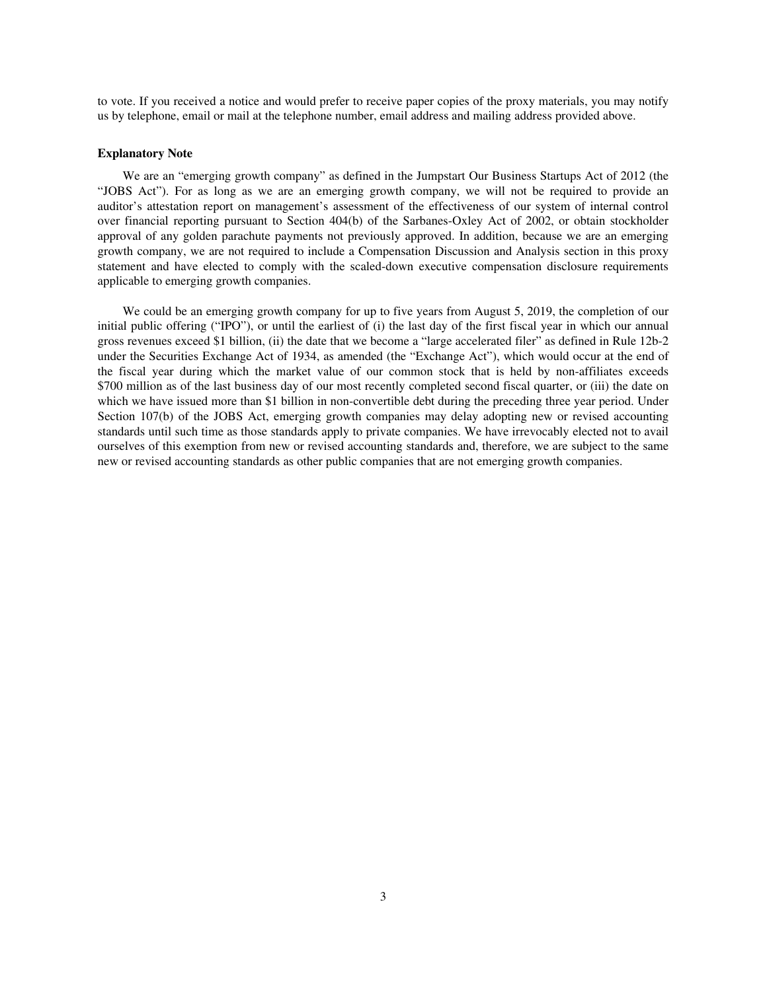to vote. If you received a notice and would prefer to receive paper copies of the proxy materials, you may notify us by telephone, email or mail at the telephone number, email address and mailing address provided above.

### **Explanatory Note**

We are an "emerging growth company" as defined in the Jumpstart Our Business Startups Act of 2012 (the "JOBS Act"). For as long as we are an emerging growth company, we will not be required to provide an auditor's attestation report on management's assessment of the effectiveness of our system of internal control over financial reporting pursuant to Section 404(b) of the Sarbanes-Oxley Act of 2002, or obtain stockholder approval of any golden parachute payments not previously approved. In addition, because we are an emerging growth company, we are not required to include a Compensation Discussion and Analysis section in this proxy statement and have elected to comply with the scaled-down executive compensation disclosure requirements applicable to emerging growth companies.

We could be an emerging growth company for up to five years from August 5, 2019, the completion of our initial public offering ("IPO"), or until the earliest of (i) the last day of the first fiscal year in which our annual gross revenues exceed \$1 billion, (ii) the date that we become a "large accelerated filer" as defined in Rule 12b-2 under the Securities Exchange Act of 1934, as amended (the "Exchange Act"), which would occur at the end of the fiscal year during which the market value of our common stock that is held by non-affiliates exceeds \$700 million as of the last business day of our most recently completed second fiscal quarter, or (iii) the date on which we have issued more than \$1 billion in non-convertible debt during the preceding three year period. Under Section 107(b) of the JOBS Act, emerging growth companies may delay adopting new or revised accounting standards until such time as those standards apply to private companies. We have irrevocably elected not to avail ourselves of this exemption from new or revised accounting standards and, therefore, we are subject to the same new or revised accounting standards as other public companies that are not emerging growth companies.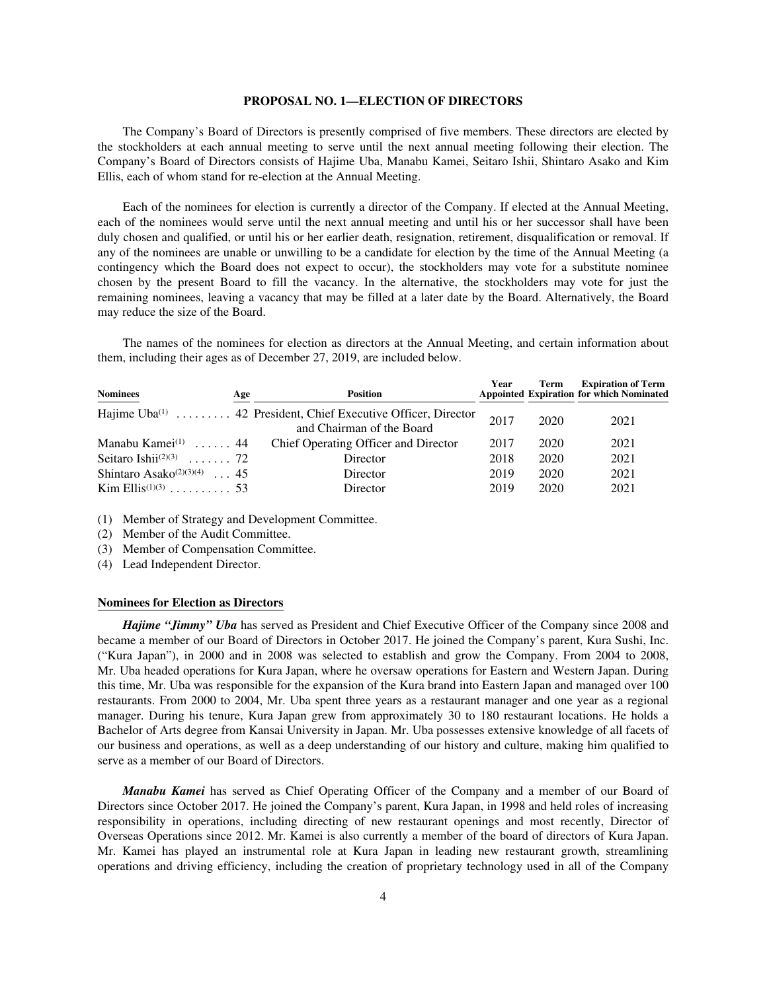### **PROPOSAL NO. 1—ELECTION OF DIRECTORS**

The Company's Board of Directors is presently comprised of five members. These directors are elected by the stockholders at each annual meeting to serve until the next annual meeting following their election. The Company's Board of Directors consists of Hajime Uba, Manabu Kamei, Seitaro Ishii, Shintaro Asako and Kim Ellis, each of whom stand for re-election at the Annual Meeting.

Each of the nominees for election is currently a director of the Company. If elected at the Annual Meeting, each of the nominees would serve until the next annual meeting and until his or her successor shall have been duly chosen and qualified, or until his or her earlier death, resignation, retirement, disqualification or removal. If any of the nominees are unable or unwilling to be a candidate for election by the time of the Annual Meeting (a contingency which the Board does not expect to occur), the stockholders may vote for a substitute nominee chosen by the present Board to fill the vacancy. In the alternative, the stockholders may vote for just the remaining nominees, leaving a vacancy that may be filled at a later date by the Board. Alternatively, the Board may reduce the size of the Board.

The names of the nominees for election as directors at the Annual Meeting, and certain information about them, including their ages as of December 27, 2019, are included below.

| <b>Nominees</b>                                                                       | Age | Position                                                                                               | Year         | Term         | <b>Expiration of Term</b><br><b>Appointed Expiration for which Nominated</b> |
|---------------------------------------------------------------------------------------|-----|--------------------------------------------------------------------------------------------------------|--------------|--------------|------------------------------------------------------------------------------|
|                                                                                       |     | Hajime Uba <sup>(1)</sup> 42 President, Chief Executive Officer, Director<br>and Chairman of the Board | 2017         | 2020         | 2021                                                                         |
| Manabu Kamei $(1)$ 44                                                                 |     | Chief Operating Officer and Director                                                                   | 2017         | 2020         | 2021                                                                         |
| Seitaro Ishii <sup>(2)(3)</sup> 72                                                    |     | Director                                                                                               | 2018         | 2020         | 2021                                                                         |
| Shintaro Asako <sup><math>(2)(3)(4)</math></sup> 45<br>$\text{Kim Ellis}^{(1)(3)}$ 53 |     | Director<br>Director                                                                                   | 2019<br>2019 | 2020<br>2020 | 2021<br>2021                                                                 |

(1) Member of Strategy and Development Committee.

(2) Member of the Audit Committee.

- (3) Member of Compensation Committee.
- (4) Lead Independent Director.

### **Nominees for Election as Directors**

*Hajime "Jimmy" Uba* has served as President and Chief Executive Officer of the Company since 2008 and became a member of our Board of Directors in October 2017. He joined the Company's parent, Kura Sushi, Inc. ("Kura Japan"), in 2000 and in 2008 was selected to establish and grow the Company. From 2004 to 2008, Mr. Uba headed operations for Kura Japan, where he oversaw operations for Eastern and Western Japan. During this time, Mr. Uba was responsible for the expansion of the Kura brand into Eastern Japan and managed over 100 restaurants. From 2000 to 2004, Mr. Uba spent three years as a restaurant manager and one year as a regional manager. During his tenure, Kura Japan grew from approximately 30 to 180 restaurant locations. He holds a Bachelor of Arts degree from Kansai University in Japan. Mr. Uba possesses extensive knowledge of all facets of our business and operations, as well as a deep understanding of our history and culture, making him qualified to serve as a member of our Board of Directors.

*Manabu Kamei* has served as Chief Operating Officer of the Company and a member of our Board of Directors since October 2017. He joined the Company's parent, Kura Japan, in 1998 and held roles of increasing responsibility in operations, including directing of new restaurant openings and most recently, Director of Overseas Operations since 2012. Mr. Kamei is also currently a member of the board of directors of Kura Japan. Mr. Kamei has played an instrumental role at Kura Japan in leading new restaurant growth, streamlining operations and driving efficiency, including the creation of proprietary technology used in all of the Company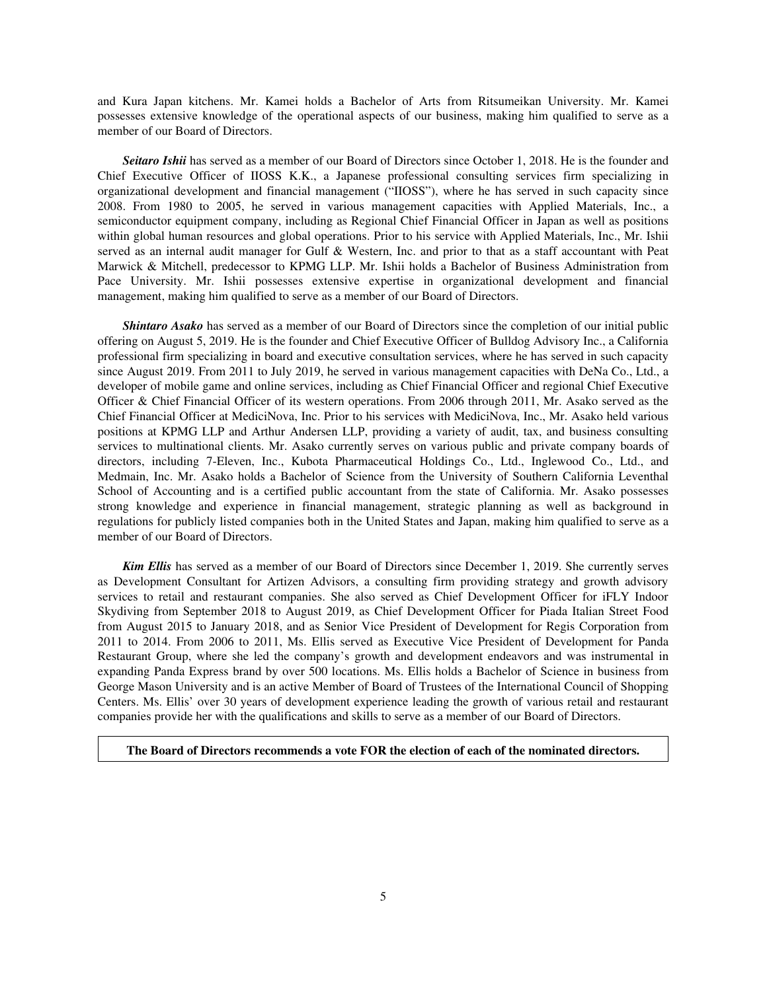and Kura Japan kitchens. Mr. Kamei holds a Bachelor of Arts from Ritsumeikan University. Mr. Kamei possesses extensive knowledge of the operational aspects of our business, making him qualified to serve as a member of our Board of Directors.

*Seitaro Ishii* has served as a member of our Board of Directors since October 1, 2018. He is the founder and Chief Executive Officer of IIOSS K.K., a Japanese professional consulting services firm specializing in organizational development and financial management ("IIOSS"), where he has served in such capacity since 2008. From 1980 to 2005, he served in various management capacities with Applied Materials, Inc., a semiconductor equipment company, including as Regional Chief Financial Officer in Japan as well as positions within global human resources and global operations. Prior to his service with Applied Materials, Inc., Mr. Ishii served as an internal audit manager for Gulf & Western, Inc. and prior to that as a staff accountant with Peat Marwick & Mitchell, predecessor to KPMG LLP. Mr. Ishii holds a Bachelor of Business Administration from Pace University. Mr. Ishii possesses extensive expertise in organizational development and financial management, making him qualified to serve as a member of our Board of Directors.

*Shintaro Asako* has served as a member of our Board of Directors since the completion of our initial public offering on August 5, 2019. He is the founder and Chief Executive Officer of Bulldog Advisory Inc., a California professional firm specializing in board and executive consultation services, where he has served in such capacity since August 2019. From 2011 to July 2019, he served in various management capacities with DeNa Co., Ltd., a developer of mobile game and online services, including as Chief Financial Officer and regional Chief Executive Officer & Chief Financial Officer of its western operations. From 2006 through 2011, Mr. Asako served as the Chief Financial Officer at MediciNova, Inc. Prior to his services with MediciNova, Inc., Mr. Asako held various positions at KPMG LLP and Arthur Andersen LLP, providing a variety of audit, tax, and business consulting services to multinational clients. Mr. Asako currently serves on various public and private company boards of directors, including 7-Eleven, Inc., Kubota Pharmaceutical Holdings Co., Ltd., Inglewood Co., Ltd., and Medmain, Inc. Mr. Asako holds a Bachelor of Science from the University of Southern California Leventhal School of Accounting and is a certified public accountant from the state of California. Mr. Asako possesses strong knowledge and experience in financial management, strategic planning as well as background in regulations for publicly listed companies both in the United States and Japan, making him qualified to serve as a member of our Board of Directors.

*Kim Ellis* has served as a member of our Board of Directors since December 1, 2019. She currently serves as Development Consultant for Artizen Advisors, a consulting firm providing strategy and growth advisory services to retail and restaurant companies. She also served as Chief Development Officer for iFLY Indoor Skydiving from September 2018 to August 2019, as Chief Development Officer for Piada Italian Street Food from August 2015 to January 2018, and as Senior Vice President of Development for Regis Corporation from 2011 to 2014. From 2006 to 2011, Ms. Ellis served as Executive Vice President of Development for Panda Restaurant Group, where she led the company's growth and development endeavors and was instrumental in expanding Panda Express brand by over 500 locations. Ms. Ellis holds a Bachelor of Science in business from George Mason University and is an active Member of Board of Trustees of the International Council of Shopping Centers. Ms. Ellis' over 30 years of development experience leading the growth of various retail and restaurant companies provide her with the qualifications and skills to serve as a member of our Board of Directors.

## **The Board of Directors recommends a vote FOR the election of each of the nominated directors.**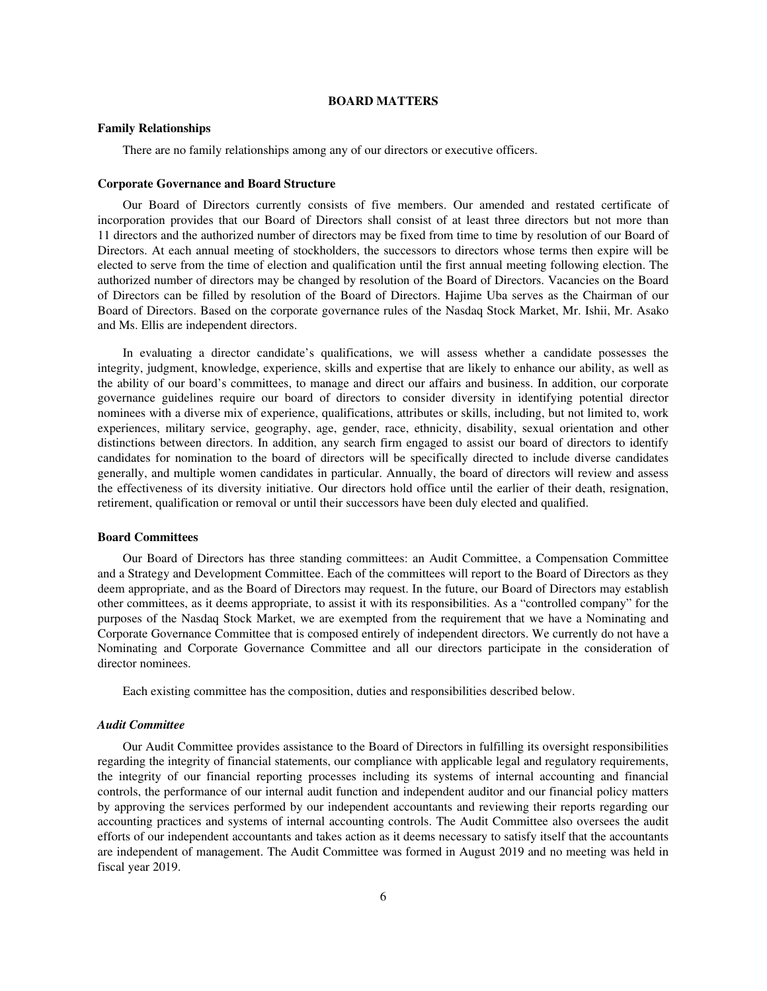#### **BOARD MATTERS**

#### **Family Relationships**

There are no family relationships among any of our directors or executive officers.

### **Corporate Governance and Board Structure**

Our Board of Directors currently consists of five members. Our amended and restated certificate of incorporation provides that our Board of Directors shall consist of at least three directors but not more than 11 directors and the authorized number of directors may be fixed from time to time by resolution of our Board of Directors. At each annual meeting of stockholders, the successors to directors whose terms then expire will be elected to serve from the time of election and qualification until the first annual meeting following election. The authorized number of directors may be changed by resolution of the Board of Directors. Vacancies on the Board of Directors can be filled by resolution of the Board of Directors. Hajime Uba serves as the Chairman of our Board of Directors. Based on the corporate governance rules of the Nasdaq Stock Market, Mr. Ishii, Mr. Asako and Ms. Ellis are independent directors.

In evaluating a director candidate's qualifications, we will assess whether a candidate possesses the integrity, judgment, knowledge, experience, skills and expertise that are likely to enhance our ability, as well as the ability of our board's committees, to manage and direct our affairs and business. In addition, our corporate governance guidelines require our board of directors to consider diversity in identifying potential director nominees with a diverse mix of experience, qualifications, attributes or skills, including, but not limited to, work experiences, military service, geography, age, gender, race, ethnicity, disability, sexual orientation and other distinctions between directors. In addition, any search firm engaged to assist our board of directors to identify candidates for nomination to the board of directors will be specifically directed to include diverse candidates generally, and multiple women candidates in particular. Annually, the board of directors will review and assess the effectiveness of its diversity initiative. Our directors hold office until the earlier of their death, resignation, retirement, qualification or removal or until their successors have been duly elected and qualified.

## **Board Committees**

Our Board of Directors has three standing committees: an Audit Committee, a Compensation Committee and a Strategy and Development Committee. Each of the committees will report to the Board of Directors as they deem appropriate, and as the Board of Directors may request. In the future, our Board of Directors may establish other committees, as it deems appropriate, to assist it with its responsibilities. As a "controlled company" for the purposes of the Nasdaq Stock Market, we are exempted from the requirement that we have a Nominating and Corporate Governance Committee that is composed entirely of independent directors. We currently do not have a Nominating and Corporate Governance Committee and all our directors participate in the consideration of director nominees.

Each existing committee has the composition, duties and responsibilities described below.

### *Audit Committee*

Our Audit Committee provides assistance to the Board of Directors in fulfilling its oversight responsibilities regarding the integrity of financial statements, our compliance with applicable legal and regulatory requirements, the integrity of our financial reporting processes including its systems of internal accounting and financial controls, the performance of our internal audit function and independent auditor and our financial policy matters by approving the services performed by our independent accountants and reviewing their reports regarding our accounting practices and systems of internal accounting controls. The Audit Committee also oversees the audit efforts of our independent accountants and takes action as it deems necessary to satisfy itself that the accountants are independent of management. The Audit Committee was formed in August 2019 and no meeting was held in fiscal year 2019.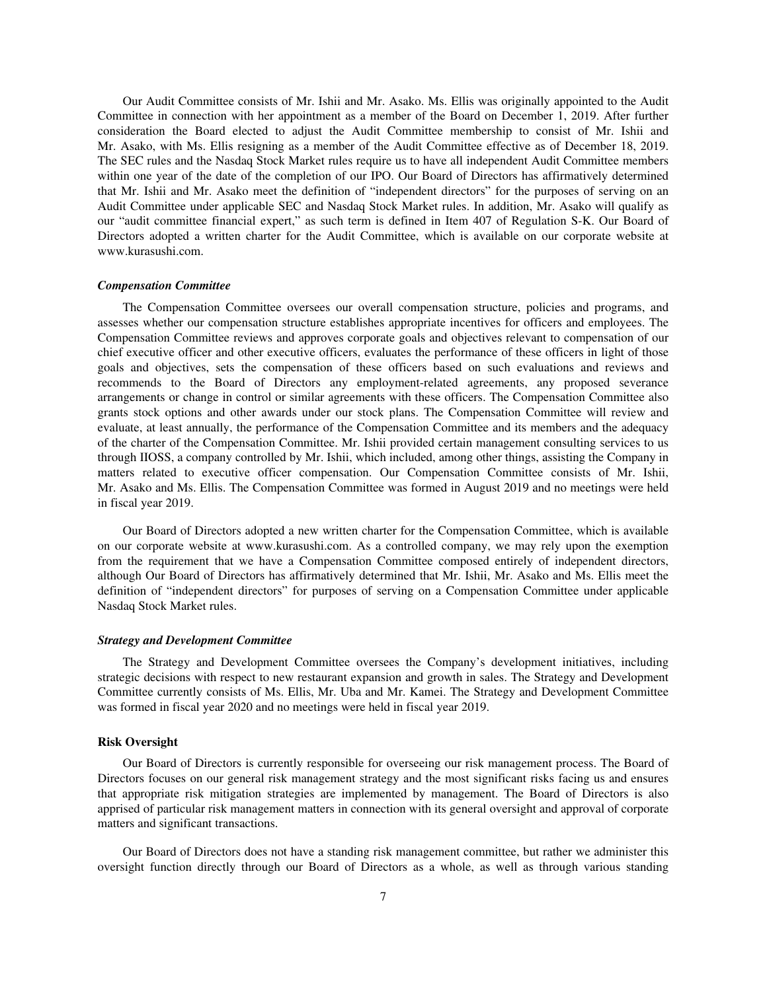Our Audit Committee consists of Mr. Ishii and Mr. Asako. Ms. Ellis was originally appointed to the Audit Committee in connection with her appointment as a member of the Board on December 1, 2019. After further consideration the Board elected to adjust the Audit Committee membership to consist of Mr. Ishii and Mr. Asako, with Ms. Ellis resigning as a member of the Audit Committee effective as of December 18, 2019. The SEC rules and the Nasdaq Stock Market rules require us to have all independent Audit Committee members within one year of the date of the completion of our IPO. Our Board of Directors has affirmatively determined that Mr. Ishii and Mr. Asako meet the definition of "independent directors" for the purposes of serving on an Audit Committee under applicable SEC and Nasdaq Stock Market rules. In addition, Mr. Asako will qualify as our "audit committee financial expert," as such term is defined in Item 407 of Regulation S-K. Our Board of Directors adopted a written charter for the Audit Committee, which is available on our corporate website at www.kurasushi.com.

#### *Compensation Committee*

The Compensation Committee oversees our overall compensation structure, policies and programs, and assesses whether our compensation structure establishes appropriate incentives for officers and employees. The Compensation Committee reviews and approves corporate goals and objectives relevant to compensation of our chief executive officer and other executive officers, evaluates the performance of these officers in light of those goals and objectives, sets the compensation of these officers based on such evaluations and reviews and recommends to the Board of Directors any employment-related agreements, any proposed severance arrangements or change in control or similar agreements with these officers. The Compensation Committee also grants stock options and other awards under our stock plans. The Compensation Committee will review and evaluate, at least annually, the performance of the Compensation Committee and its members and the adequacy of the charter of the Compensation Committee. Mr. Ishii provided certain management consulting services to us through IIOSS, a company controlled by Mr. Ishii, which included, among other things, assisting the Company in matters related to executive officer compensation. Our Compensation Committee consists of Mr. Ishii, Mr. Asako and Ms. Ellis. The Compensation Committee was formed in August 2019 and no meetings were held in fiscal year 2019.

Our Board of Directors adopted a new written charter for the Compensation Committee, which is available on our corporate website at www.kurasushi.com. As a controlled company, we may rely upon the exemption from the requirement that we have a Compensation Committee composed entirely of independent directors, although Our Board of Directors has affirmatively determined that Mr. Ishii, Mr. Asako and Ms. Ellis meet the definition of "independent directors" for purposes of serving on a Compensation Committee under applicable Nasdaq Stock Market rules.

### *Strategy and Development Committee*

The Strategy and Development Committee oversees the Company's development initiatives, including strategic decisions with respect to new restaurant expansion and growth in sales. The Strategy and Development Committee currently consists of Ms. Ellis, Mr. Uba and Mr. Kamei. The Strategy and Development Committee was formed in fiscal year 2020 and no meetings were held in fiscal year 2019.

#### **Risk Oversight**

Our Board of Directors is currently responsible for overseeing our risk management process. The Board of Directors focuses on our general risk management strategy and the most significant risks facing us and ensures that appropriate risk mitigation strategies are implemented by management. The Board of Directors is also apprised of particular risk management matters in connection with its general oversight and approval of corporate matters and significant transactions.

Our Board of Directors does not have a standing risk management committee, but rather we administer this oversight function directly through our Board of Directors as a whole, as well as through various standing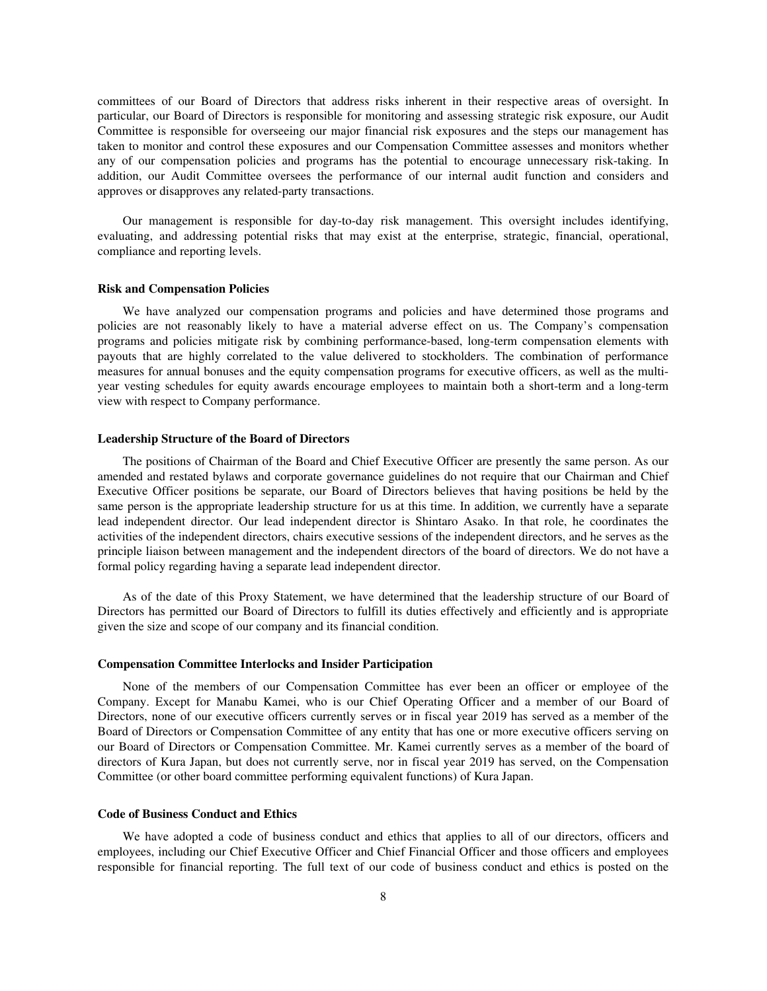committees of our Board of Directors that address risks inherent in their respective areas of oversight. In particular, our Board of Directors is responsible for monitoring and assessing strategic risk exposure, our Audit Committee is responsible for overseeing our major financial risk exposures and the steps our management has taken to monitor and control these exposures and our Compensation Committee assesses and monitors whether any of our compensation policies and programs has the potential to encourage unnecessary risk-taking. In addition, our Audit Committee oversees the performance of our internal audit function and considers and approves or disapproves any related-party transactions.

Our management is responsible for day-to-day risk management. This oversight includes identifying, evaluating, and addressing potential risks that may exist at the enterprise, strategic, financial, operational, compliance and reporting levels.

#### **Risk and Compensation Policies**

We have analyzed our compensation programs and policies and have determined those programs and policies are not reasonably likely to have a material adverse effect on us. The Company's compensation programs and policies mitigate risk by combining performance-based, long-term compensation elements with payouts that are highly correlated to the value delivered to stockholders. The combination of performance measures for annual bonuses and the equity compensation programs for executive officers, as well as the multiyear vesting schedules for equity awards encourage employees to maintain both a short-term and a long-term view with respect to Company performance.

#### **Leadership Structure of the Board of Directors**

The positions of Chairman of the Board and Chief Executive Officer are presently the same person. As our amended and restated bylaws and corporate governance guidelines do not require that our Chairman and Chief Executive Officer positions be separate, our Board of Directors believes that having positions be held by the same person is the appropriate leadership structure for us at this time. In addition, we currently have a separate lead independent director. Our lead independent director is Shintaro Asako. In that role, he coordinates the activities of the independent directors, chairs executive sessions of the independent directors, and he serves as the principle liaison between management and the independent directors of the board of directors. We do not have a formal policy regarding having a separate lead independent director.

As of the date of this Proxy Statement, we have determined that the leadership structure of our Board of Directors has permitted our Board of Directors to fulfill its duties effectively and efficiently and is appropriate given the size and scope of our company and its financial condition.

#### **Compensation Committee Interlocks and Insider Participation**

None of the members of our Compensation Committee has ever been an officer or employee of the Company. Except for Manabu Kamei, who is our Chief Operating Officer and a member of our Board of Directors, none of our executive officers currently serves or in fiscal year 2019 has served as a member of the Board of Directors or Compensation Committee of any entity that has one or more executive officers serving on our Board of Directors or Compensation Committee. Mr. Kamei currently serves as a member of the board of directors of Kura Japan, but does not currently serve, nor in fiscal year 2019 has served, on the Compensation Committee (or other board committee performing equivalent functions) of Kura Japan.

#### **Code of Business Conduct and Ethics**

We have adopted a code of business conduct and ethics that applies to all of our directors, officers and employees, including our Chief Executive Officer and Chief Financial Officer and those officers and employees responsible for financial reporting. The full text of our code of business conduct and ethics is posted on the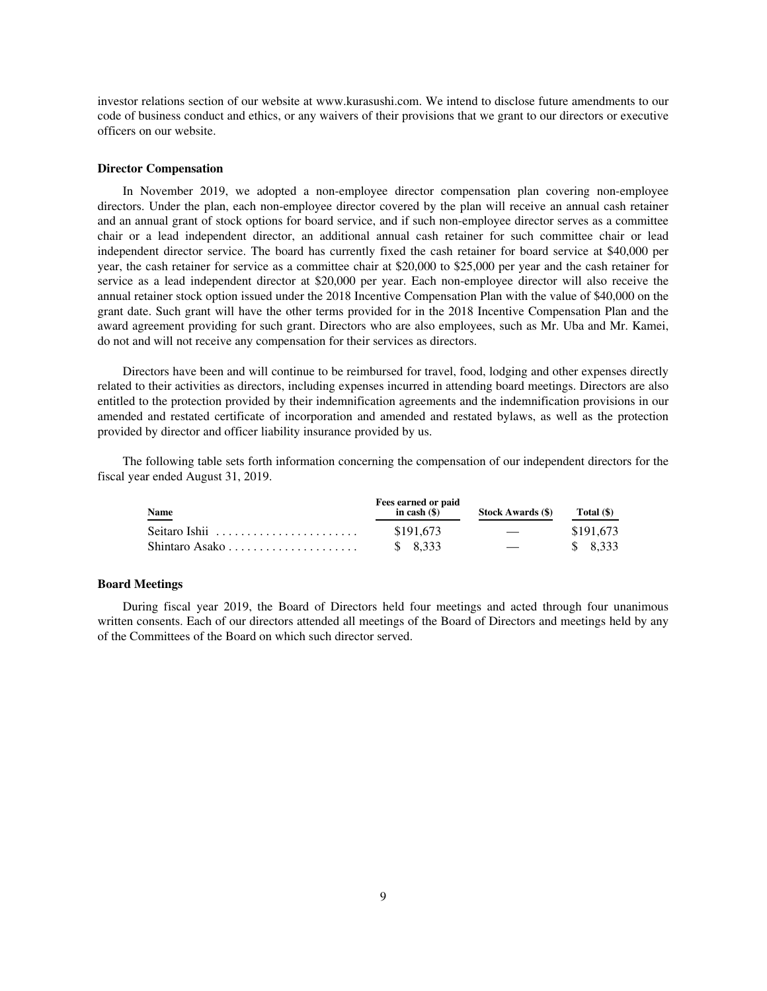investor relations section of our website at www.kurasushi.com. We intend to disclose future amendments to our code of business conduct and ethics, or any waivers of their provisions that we grant to our directors or executive officers on our website.

### **Director Compensation**

In November 2019, we adopted a non-employee director compensation plan covering non-employee directors. Under the plan, each non-employee director covered by the plan will receive an annual cash retainer and an annual grant of stock options for board service, and if such non-employee director serves as a committee chair or a lead independent director, an additional annual cash retainer for such committee chair or lead independent director service. The board has currently fixed the cash retainer for board service at \$40,000 per year, the cash retainer for service as a committee chair at \$20,000 to \$25,000 per year and the cash retainer for service as a lead independent director at \$20,000 per year. Each non-employee director will also receive the annual retainer stock option issued under the 2018 Incentive Compensation Plan with the value of \$40,000 on the grant date. Such grant will have the other terms provided for in the 2018 Incentive Compensation Plan and the award agreement providing for such grant. Directors who are also employees, such as Mr. Uba and Mr. Kamei, do not and will not receive any compensation for their services as directors.

Directors have been and will continue to be reimbursed for travel, food, lodging and other expenses directly related to their activities as directors, including expenses incurred in attending board meetings. Directors are also entitled to the protection provided by their indemnification agreements and the indemnification provisions in our amended and restated certificate of incorporation and amended and restated bylaws, as well as the protection provided by director and officer liability insurance provided by us.

The following table sets forth information concerning the compensation of our independent directors for the fiscal year ended August 31, 2019.

| Name<br>____                                           | Fees earned or paid<br>in cash $($ ) | <b>Stock Awards (\$)</b> | Total (\$) |
|--------------------------------------------------------|--------------------------------------|--------------------------|------------|
| Seitaro Ishii $\ldots, \ldots, \ldots, \ldots, \ldots$ | \$191.673                            | $\overline{\phantom{a}}$ | \$191,673  |
|                                                        | \$8.333                              | $\overline{\phantom{0}}$ | \$ 8.333   |

## **Board Meetings**

During fiscal year 2019, the Board of Directors held four meetings and acted through four unanimous written consents. Each of our directors attended all meetings of the Board of Directors and meetings held by any of the Committees of the Board on which such director served.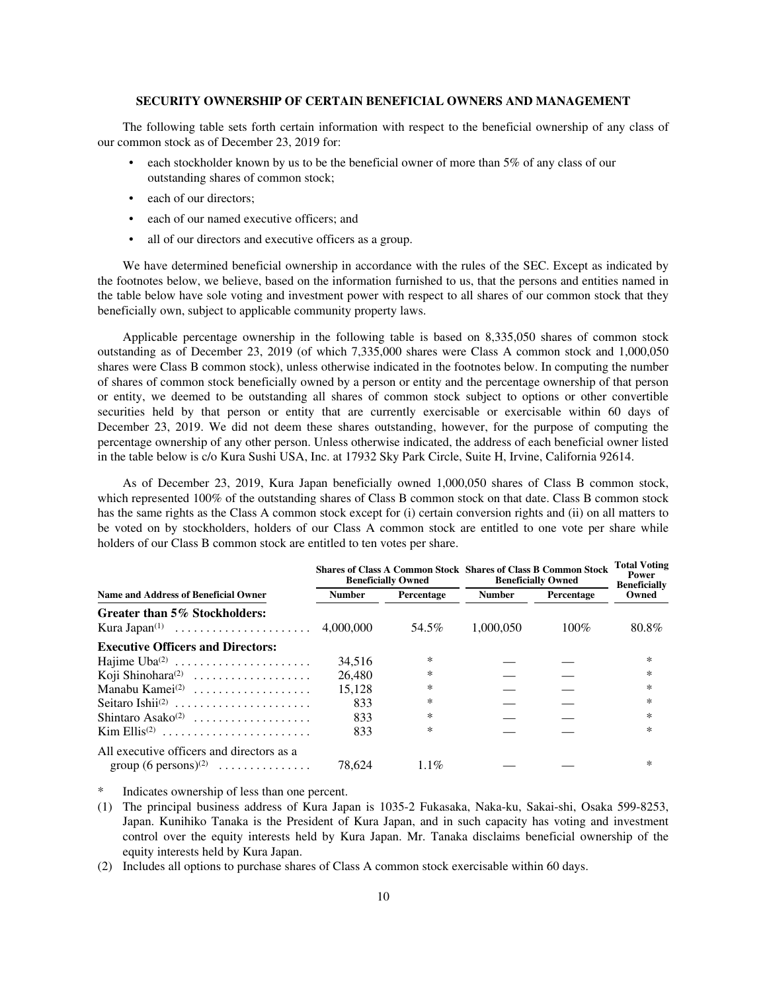### **SECURITY OWNERSHIP OF CERTAIN BENEFICIAL OWNERS AND MANAGEMENT**

The following table sets forth certain information with respect to the beneficial ownership of any class of our common stock as of December 23, 2019 for:

- each stockholder known by us to be the beneficial owner of more than 5% of any class of our outstanding shares of common stock;
- each of our directors;
- each of our named executive officers; and
- all of our directors and executive officers as a group.

We have determined beneficial ownership in accordance with the rules of the SEC. Except as indicated by the footnotes below, we believe, based on the information furnished to us, that the persons and entities named in the table below have sole voting and investment power with respect to all shares of our common stock that they beneficially own, subject to applicable community property laws.

Applicable percentage ownership in the following table is based on 8,335,050 shares of common stock outstanding as of December 23, 2019 (of which 7,335,000 shares were Class A common stock and 1,000,050 shares were Class B common stock), unless otherwise indicated in the footnotes below. In computing the number of shares of common stock beneficially owned by a person or entity and the percentage ownership of that person or entity, we deemed to be outstanding all shares of common stock subject to options or other convertible securities held by that person or entity that are currently exercisable or exercisable within 60 days of December 23, 2019. We did not deem these shares outstanding, however, for the purpose of computing the percentage ownership of any other person. Unless otherwise indicated, the address of each beneficial owner listed in the table below is c/o Kura Sushi USA, Inc. at 17932 Sky Park Circle, Suite H, Irvine, California 92614.

As of December 23, 2019, Kura Japan beneficially owned 1,000,050 shares of Class B common stock, which represented 100% of the outstanding shares of Class B common stock on that date. Class B common stock has the same rights as the Class A common stock except for (i) certain conversion rights and (ii) on all matters to be voted on by stockholders, holders of our Class A common stock are entitled to one vote per share while holders of our Class B common stock are entitled to ten votes per share.

|                                                                                |               | <b>Beneficially Owned</b> | <b>Shares of Class A Common Stock Shares of Class B Common Stock</b><br><b>Beneficially Owned</b> |            | <b>Total Voting</b><br>Power<br><b>Beneficially</b> |
|--------------------------------------------------------------------------------|---------------|---------------------------|---------------------------------------------------------------------------------------------------|------------|-----------------------------------------------------|
| <b>Name and Address of Beneficial Owner</b>                                    | <b>Number</b> | Percentage                | <b>Number</b>                                                                                     | Percentage | Owned                                               |
| Greater than 5% Stockholders:                                                  |               | 54.5%                     | 1.000.050                                                                                         | $100\%$    | 80.8%                                               |
| <b>Executive Officers and Directors:</b>                                       |               |                           |                                                                                                   |            |                                                     |
|                                                                                | 34,516        | $\ast$                    |                                                                                                   |            | $\ast$                                              |
| Koji Shinohara <sup>(2)</sup>                                                  | 26,480        | ∗                         |                                                                                                   |            | $\ast$                                              |
| Manabu Kamei <sup>(2)</sup>                                                    | 15.128        | $\ast$                    |                                                                                                   |            | $\ast$                                              |
| Seitaro Ishii <sup>(2)</sup>                                                   | 833           | ∗                         |                                                                                                   |            | *                                                   |
| Shintaro Asako <sup>(2)</sup>                                                  | 833           | ∗                         |                                                                                                   |            | $\ast$                                              |
| $\text{Kim Ellis}^{(2)}$                                                       | 833           | ∗                         |                                                                                                   |            | *                                                   |
| All executive officers and directors as a<br>group $(6 \text{ persons})^{(2)}$ | 78.624        | $1.1\%$                   |                                                                                                   |            | *                                                   |

Indicates ownership of less than one percent.

- (1) The principal business address of Kura Japan is 1035-2 Fukasaka, Naka-ku, Sakai-shi, Osaka 599-8253, Japan. Kunihiko Tanaka is the President of Kura Japan, and in such capacity has voting and investment control over the equity interests held by Kura Japan. Mr. Tanaka disclaims beneficial ownership of the equity interests held by Kura Japan.
- (2) Includes all options to purchase shares of Class A common stock exercisable within 60 days.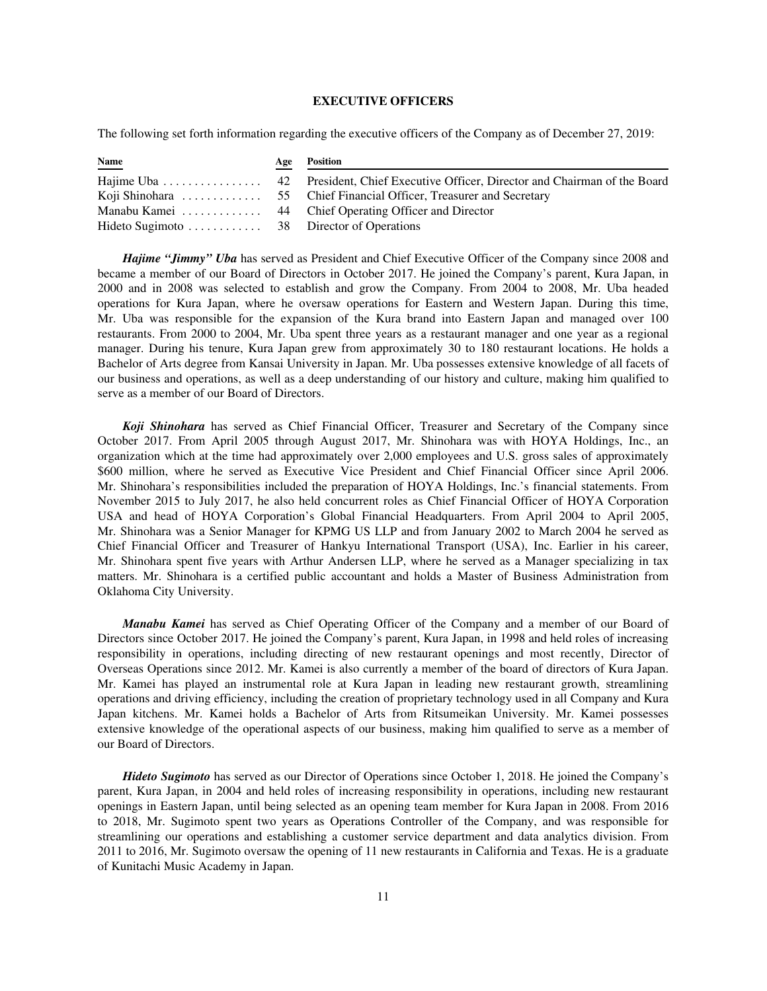## **EXECUTIVE OFFICERS**

The following set forth information regarding the executive officers of the Company as of December 27, 2019:

| <b>Name</b> | <b>Age Position</b> |
|-------------|---------------------|
|             |                     |
|             |                     |
|             |                     |
|             |                     |

*Hajime "Jimmy" Uba* has served as President and Chief Executive Officer of the Company since 2008 and became a member of our Board of Directors in October 2017. He joined the Company's parent, Kura Japan, in 2000 and in 2008 was selected to establish and grow the Company. From 2004 to 2008, Mr. Uba headed operations for Kura Japan, where he oversaw operations for Eastern and Western Japan. During this time, Mr. Uba was responsible for the expansion of the Kura brand into Eastern Japan and managed over 100 restaurants. From 2000 to 2004, Mr. Uba spent three years as a restaurant manager and one year as a regional manager. During his tenure, Kura Japan grew from approximately 30 to 180 restaurant locations. He holds a Bachelor of Arts degree from Kansai University in Japan. Mr. Uba possesses extensive knowledge of all facets of our business and operations, as well as a deep understanding of our history and culture, making him qualified to serve as a member of our Board of Directors.

*Koji Shinohara* has served as Chief Financial Officer, Treasurer and Secretary of the Company since October 2017. From April 2005 through August 2017, Mr. Shinohara was with HOYA Holdings, Inc., an organization which at the time had approximately over 2,000 employees and U.S. gross sales of approximately \$600 million, where he served as Executive Vice President and Chief Financial Officer since April 2006. Mr. Shinohara's responsibilities included the preparation of HOYA Holdings, Inc.'s financial statements. From November 2015 to July 2017, he also held concurrent roles as Chief Financial Officer of HOYA Corporation USA and head of HOYA Corporation's Global Financial Headquarters. From April 2004 to April 2005, Mr. Shinohara was a Senior Manager for KPMG US LLP and from January 2002 to March 2004 he served as Chief Financial Officer and Treasurer of Hankyu International Transport (USA), Inc. Earlier in his career, Mr. Shinohara spent five years with Arthur Andersen LLP, where he served as a Manager specializing in tax matters. Mr. Shinohara is a certified public accountant and holds a Master of Business Administration from Oklahoma City University.

*Manabu Kamei* has served as Chief Operating Officer of the Company and a member of our Board of Directors since October 2017. He joined the Company's parent, Kura Japan, in 1998 and held roles of increasing responsibility in operations, including directing of new restaurant openings and most recently, Director of Overseas Operations since 2012. Mr. Kamei is also currently a member of the board of directors of Kura Japan. Mr. Kamei has played an instrumental role at Kura Japan in leading new restaurant growth, streamlining operations and driving efficiency, including the creation of proprietary technology used in all Company and Kura Japan kitchens. Mr. Kamei holds a Bachelor of Arts from Ritsumeikan University. Mr. Kamei possesses extensive knowledge of the operational aspects of our business, making him qualified to serve as a member of our Board of Directors.

*Hideto Sugimoto* has served as our Director of Operations since October 1, 2018. He joined the Company's parent, Kura Japan, in 2004 and held roles of increasing responsibility in operations, including new restaurant openings in Eastern Japan, until being selected as an opening team member for Kura Japan in 2008. From 2016 to 2018, Mr. Sugimoto spent two years as Operations Controller of the Company, and was responsible for streamlining our operations and establishing a customer service department and data analytics division. From 2011 to 2016, Mr. Sugimoto oversaw the opening of 11 new restaurants in California and Texas. He is a graduate of Kunitachi Music Academy in Japan.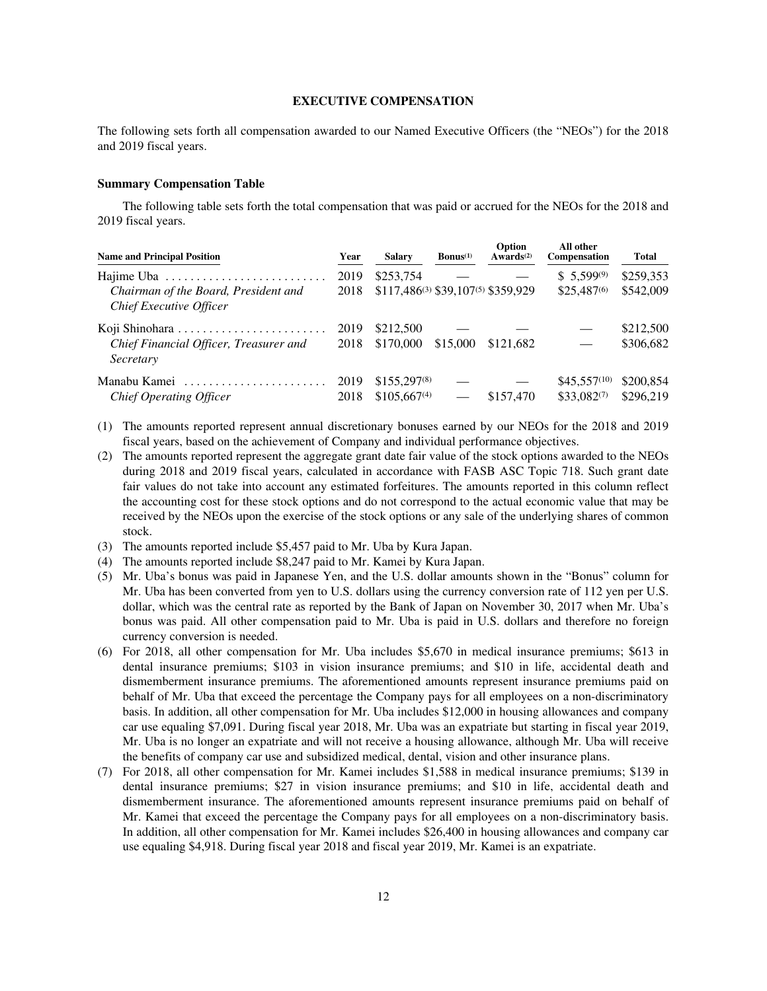### **EXECUTIVE COMPENSATION**

The following sets forth all compensation awarded to our Named Executive Officers (the "NEOs") for the 2018 and 2019 fiscal years.

### **Summary Compensation Table**

The following table sets forth the total compensation that was paid or accrued for the NEOs for the 2018 and 2019 fiscal years.

| <b>Name and Principal Position</b>                              | Year | <b>Salary</b>                      | $\mathbf{Bonus}^{(1)}$ | Option<br>Awards $(2)$ | All other<br>Compensation | <b>Total</b> |
|-----------------------------------------------------------------|------|------------------------------------|------------------------|------------------------|---------------------------|--------------|
| Hajime Uba                                                      | 2019 | \$253,754                          |                        |                        | $$5,599^{(9)}$            | \$259,353    |
| Chairman of the Board, President and<br>Chief Executive Officer | 2018 | \$117,486(3) \$39,107(5) \$359,929 |                        |                        | $$25,487^{(6)}$           | \$542,009    |
|                                                                 | 2019 | \$212,500                          |                        |                        |                           | \$212,500    |
| Chief Financial Officer, Treasurer and<br>Secretary             | 2018 | \$170,000                          | \$15,000               | \$121,682              |                           | \$306,682    |
| Manabu Kamei                                                    | 2019 | $$155,297^{(8)}$                   |                        |                        | $$45.557^{(10)}$          | \$200.854    |
| Chief Operating Officer                                         | 2018 | $$105,667^{(4)}$                   |                        | \$157,470              | \$33,082(7)               | \$296.219    |

- (1) The amounts reported represent annual discretionary bonuses earned by our NEOs for the 2018 and 2019 fiscal years, based on the achievement of Company and individual performance objectives.
- (2) The amounts reported represent the aggregate grant date fair value of the stock options awarded to the NEOs during 2018 and 2019 fiscal years, calculated in accordance with FASB ASC Topic 718. Such grant date fair values do not take into account any estimated forfeitures. The amounts reported in this column reflect the accounting cost for these stock options and do not correspond to the actual economic value that may be received by the NEOs upon the exercise of the stock options or any sale of the underlying shares of common stock.
- (3) The amounts reported include \$5,457 paid to Mr. Uba by Kura Japan.
- (4) The amounts reported include \$8,247 paid to Mr. Kamei by Kura Japan.
- (5) Mr. Uba's bonus was paid in Japanese Yen, and the U.S. dollar amounts shown in the "Bonus" column for Mr. Uba has been converted from yen to U.S. dollars using the currency conversion rate of 112 yen per U.S. dollar, which was the central rate as reported by the Bank of Japan on November 30, 2017 when Mr. Uba's bonus was paid. All other compensation paid to Mr. Uba is paid in U.S. dollars and therefore no foreign currency conversion is needed.
- (6) For 2018, all other compensation for Mr. Uba includes \$5,670 in medical insurance premiums; \$613 in dental insurance premiums; \$103 in vision insurance premiums; and \$10 in life, accidental death and dismemberment insurance premiums. The aforementioned amounts represent insurance premiums paid on behalf of Mr. Uba that exceed the percentage the Company pays for all employees on a non-discriminatory basis. In addition, all other compensation for Mr. Uba includes \$12,000 in housing allowances and company car use equaling \$7,091. During fiscal year 2018, Mr. Uba was an expatriate but starting in fiscal year 2019, Mr. Uba is no longer an expatriate and will not receive a housing allowance, although Mr. Uba will receive the benefits of company car use and subsidized medical, dental, vision and other insurance plans.
- (7) For 2018, all other compensation for Mr. Kamei includes \$1,588 in medical insurance premiums; \$139 in dental insurance premiums; \$27 in vision insurance premiums; and \$10 in life, accidental death and dismemberment insurance. The aforementioned amounts represent insurance premiums paid on behalf of Mr. Kamei that exceed the percentage the Company pays for all employees on a non-discriminatory basis. In addition, all other compensation for Mr. Kamei includes \$26,400 in housing allowances and company car use equaling \$4,918. During fiscal year 2018 and fiscal year 2019, Mr. Kamei is an expatriate.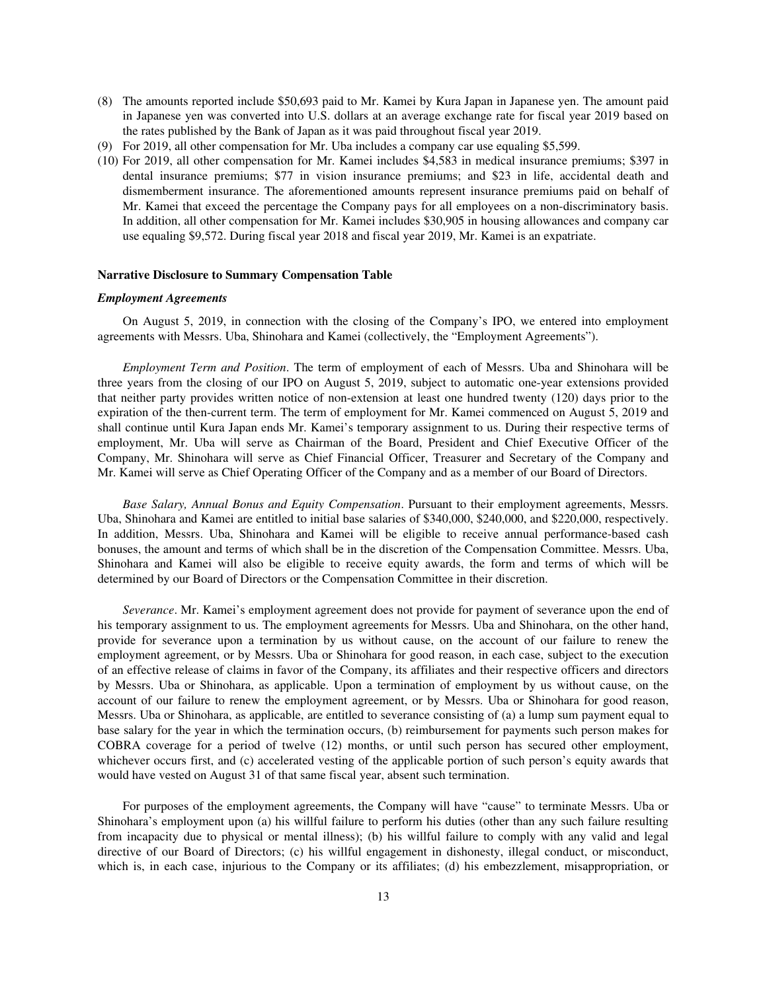- (8) The amounts reported include \$50,693 paid to Mr. Kamei by Kura Japan in Japanese yen. The amount paid in Japanese yen was converted into U.S. dollars at an average exchange rate for fiscal year 2019 based on the rates published by the Bank of Japan as it was paid throughout fiscal year 2019.
- (9) For 2019, all other compensation for Mr. Uba includes a company car use equaling \$5,599.
- (10) For 2019, all other compensation for Mr. Kamei includes \$4,583 in medical insurance premiums; \$397 in dental insurance premiums; \$77 in vision insurance premiums; and \$23 in life, accidental death and dismemberment insurance. The aforementioned amounts represent insurance premiums paid on behalf of Mr. Kamei that exceed the percentage the Company pays for all employees on a non-discriminatory basis. In addition, all other compensation for Mr. Kamei includes \$30,905 in housing allowances and company car use equaling \$9,572. During fiscal year 2018 and fiscal year 2019, Mr. Kamei is an expatriate.

### **Narrative Disclosure to Summary Compensation Table**

### *Employment Agreements*

On August 5, 2019, in connection with the closing of the Company's IPO, we entered into employment agreements with Messrs. Uba, Shinohara and Kamei (collectively, the "Employment Agreements").

*Employment Term and Position*. The term of employment of each of Messrs. Uba and Shinohara will be three years from the closing of our IPO on August 5, 2019, subject to automatic one-year extensions provided that neither party provides written notice of non-extension at least one hundred twenty (120) days prior to the expiration of the then-current term. The term of employment for Mr. Kamei commenced on August 5, 2019 and shall continue until Kura Japan ends Mr. Kamei's temporary assignment to us. During their respective terms of employment, Mr. Uba will serve as Chairman of the Board, President and Chief Executive Officer of the Company, Mr. Shinohara will serve as Chief Financial Officer, Treasurer and Secretary of the Company and Mr. Kamei will serve as Chief Operating Officer of the Company and as a member of our Board of Directors.

*Base Salary, Annual Bonus and Equity Compensation*. Pursuant to their employment agreements, Messrs. Uba, Shinohara and Kamei are entitled to initial base salaries of \$340,000, \$240,000, and \$220,000, respectively. In addition, Messrs. Uba, Shinohara and Kamei will be eligible to receive annual performance-based cash bonuses, the amount and terms of which shall be in the discretion of the Compensation Committee. Messrs. Uba, Shinohara and Kamei will also be eligible to receive equity awards, the form and terms of which will be determined by our Board of Directors or the Compensation Committee in their discretion.

*Severance*. Mr. Kamei's employment agreement does not provide for payment of severance upon the end of his temporary assignment to us. The employment agreements for Messrs. Uba and Shinohara, on the other hand, provide for severance upon a termination by us without cause, on the account of our failure to renew the employment agreement, or by Messrs. Uba or Shinohara for good reason, in each case, subject to the execution of an effective release of claims in favor of the Company, its affiliates and their respective officers and directors by Messrs. Uba or Shinohara, as applicable. Upon a termination of employment by us without cause, on the account of our failure to renew the employment agreement, or by Messrs. Uba or Shinohara for good reason, Messrs. Uba or Shinohara, as applicable, are entitled to severance consisting of (a) a lump sum payment equal to base salary for the year in which the termination occurs, (b) reimbursement for payments such person makes for COBRA coverage for a period of twelve (12) months, or until such person has secured other employment, whichever occurs first, and (c) accelerated vesting of the applicable portion of such person's equity awards that would have vested on August 31 of that same fiscal year, absent such termination.

For purposes of the employment agreements, the Company will have "cause" to terminate Messrs. Uba or Shinohara's employment upon (a) his willful failure to perform his duties (other than any such failure resulting from incapacity due to physical or mental illness); (b) his willful failure to comply with any valid and legal directive of our Board of Directors; (c) his willful engagement in dishonesty, illegal conduct, or misconduct, which is, in each case, injurious to the Company or its affiliates; (d) his embezzlement, misappropriation, or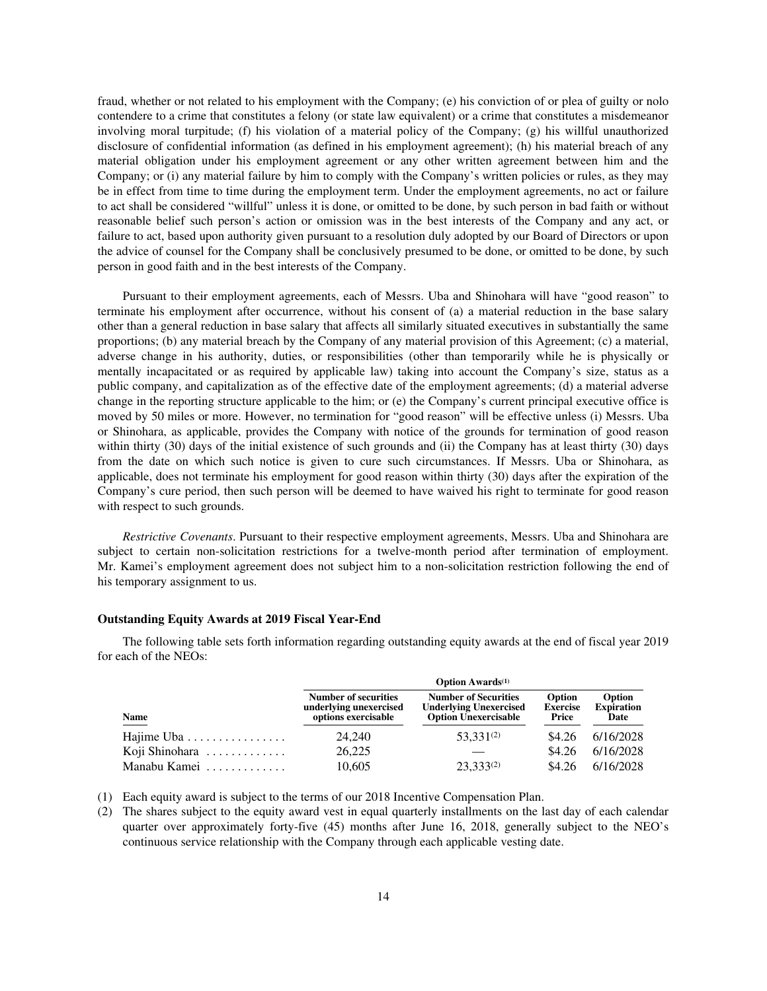fraud, whether or not related to his employment with the Company; (e) his conviction of or plea of guilty or nolo contendere to a crime that constitutes a felony (or state law equivalent) or a crime that constitutes a misdemeanor involving moral turpitude; (f) his violation of a material policy of the Company; (g) his willful unauthorized disclosure of confidential information (as defined in his employment agreement); (h) his material breach of any material obligation under his employment agreement or any other written agreement between him and the Company; or (i) any material failure by him to comply with the Company's written policies or rules, as they may be in effect from time to time during the employment term. Under the employment agreements, no act or failure to act shall be considered "willful" unless it is done, or omitted to be done, by such person in bad faith or without reasonable belief such person's action or omission was in the best interests of the Company and any act, or failure to act, based upon authority given pursuant to a resolution duly adopted by our Board of Directors or upon the advice of counsel for the Company shall be conclusively presumed to be done, or omitted to be done, by such person in good faith and in the best interests of the Company.

Pursuant to their employment agreements, each of Messrs. Uba and Shinohara will have "good reason" to terminate his employment after occurrence, without his consent of (a) a material reduction in the base salary other than a general reduction in base salary that affects all similarly situated executives in substantially the same proportions; (b) any material breach by the Company of any material provision of this Agreement; (c) a material, adverse change in his authority, duties, or responsibilities (other than temporarily while he is physically or mentally incapacitated or as required by applicable law) taking into account the Company's size, status as a public company, and capitalization as of the effective date of the employment agreements; (d) a material adverse change in the reporting structure applicable to the him; or (e) the Company's current principal executive office is moved by 50 miles or more. However, no termination for "good reason" will be effective unless (i) Messrs. Uba or Shinohara, as applicable, provides the Company with notice of the grounds for termination of good reason within thirty (30) days of the initial existence of such grounds and (ii) the Company has at least thirty (30) days from the date on which such notice is given to cure such circumstances. If Messrs. Uba or Shinohara, as applicable, does not terminate his employment for good reason within thirty (30) days after the expiration of the Company's cure period, then such person will be deemed to have waived his right to terminate for good reason with respect to such grounds.

*Restrictive Covenants*. Pursuant to their respective employment agreements, Messrs. Uba and Shinohara are subject to certain non-solicitation restrictions for a twelve-month period after termination of employment. Mr. Kamei's employment agreement does not subject him to a non-solicitation restriction following the end of his temporary assignment to us.

### **Outstanding Equity Awards at 2019 Fiscal Year-End**

**Option Awards(1) Name Number of securities underlying unexercised options exercisable Number of Securities Underlying Unexercised Option Unexercisable Option Exercise Price Option Expiration Date** Hajime Uba ................ 24,240 53,331(2) \$4.26 6/16/2028

Koji Shinohara ............. 26,225 — \$4.26 6/16/2028 Manabu Kamei ............. 10,605 23,333(2) \$4.26 6/16/2028

The following table sets forth information regarding outstanding equity awards at the end of fiscal year 2019 for each of the NEOs:

|  |  |  | (1) Each equity award is subject to the terms of our 2018 Incentive Compensation Plan. |  |  |  |
|--|--|--|----------------------------------------------------------------------------------------|--|--|--|
|--|--|--|----------------------------------------------------------------------------------------|--|--|--|

(2) The shares subject to the equity award vest in equal quarterly installments on the last day of each calendar quarter over approximately forty-five (45) months after June 16, 2018, generally subject to the NEO's continuous service relationship with the Company through each applicable vesting date.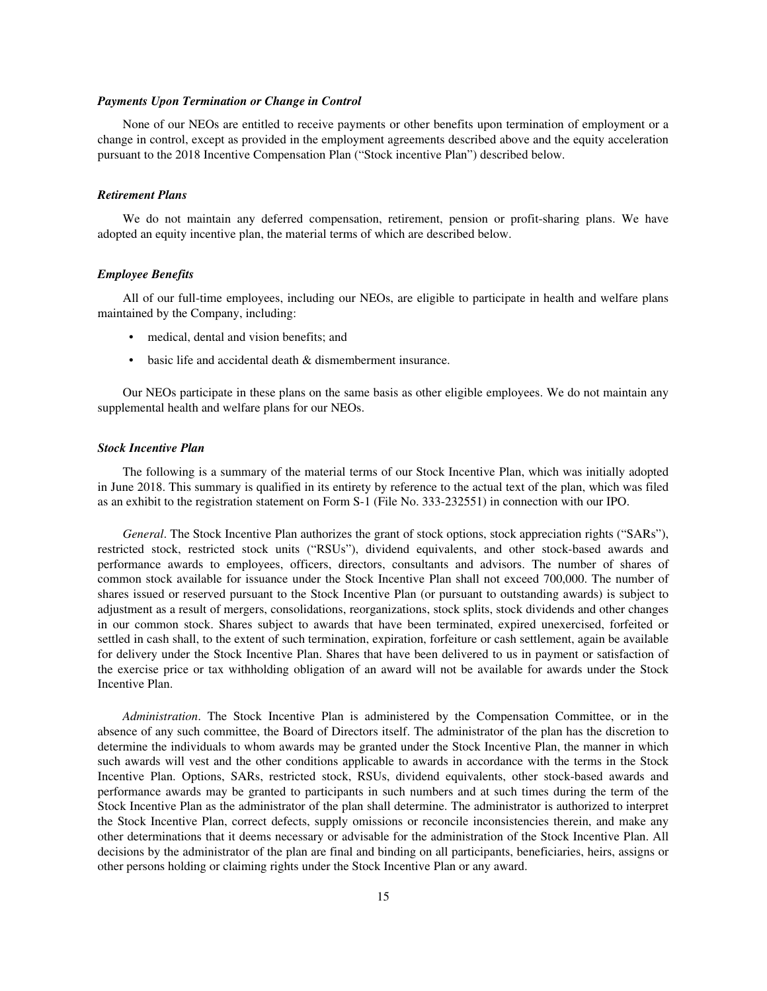### *Payments Upon Termination or Change in Control*

None of our NEOs are entitled to receive payments or other benefits upon termination of employment or a change in control, except as provided in the employment agreements described above and the equity acceleration pursuant to the 2018 Incentive Compensation Plan ("Stock incentive Plan") described below.

#### *Retirement Plans*

We do not maintain any deferred compensation, retirement, pension or profit-sharing plans. We have adopted an equity incentive plan, the material terms of which are described below.

### *Employee Benefits*

All of our full-time employees, including our NEOs, are eligible to participate in health and welfare plans maintained by the Company, including:

- medical, dental and vision benefits; and
- basic life and accidental death & dismemberment insurance.

Our NEOs participate in these plans on the same basis as other eligible employees. We do not maintain any supplemental health and welfare plans for our NEOs.

#### *Stock Incentive Plan*

The following is a summary of the material terms of our Stock Incentive Plan, which was initially adopted in June 2018. This summary is qualified in its entirety by reference to the actual text of the plan, which was filed as an exhibit to the registration statement on Form S-1 (File No. 333-232551) in connection with our IPO.

*General*. The Stock Incentive Plan authorizes the grant of stock options, stock appreciation rights ("SARs"), restricted stock, restricted stock units ("RSUs"), dividend equivalents, and other stock-based awards and performance awards to employees, officers, directors, consultants and advisors. The number of shares of common stock available for issuance under the Stock Incentive Plan shall not exceed 700,000. The number of shares issued or reserved pursuant to the Stock Incentive Plan (or pursuant to outstanding awards) is subject to adjustment as a result of mergers, consolidations, reorganizations, stock splits, stock dividends and other changes in our common stock. Shares subject to awards that have been terminated, expired unexercised, forfeited or settled in cash shall, to the extent of such termination, expiration, forfeiture or cash settlement, again be available for delivery under the Stock Incentive Plan. Shares that have been delivered to us in payment or satisfaction of the exercise price or tax withholding obligation of an award will not be available for awards under the Stock Incentive Plan.

*Administration*. The Stock Incentive Plan is administered by the Compensation Committee, or in the absence of any such committee, the Board of Directors itself. The administrator of the plan has the discretion to determine the individuals to whom awards may be granted under the Stock Incentive Plan, the manner in which such awards will vest and the other conditions applicable to awards in accordance with the terms in the Stock Incentive Plan. Options, SARs, restricted stock, RSUs, dividend equivalents, other stock-based awards and performance awards may be granted to participants in such numbers and at such times during the term of the Stock Incentive Plan as the administrator of the plan shall determine. The administrator is authorized to interpret the Stock Incentive Plan, correct defects, supply omissions or reconcile inconsistencies therein, and make any other determinations that it deems necessary or advisable for the administration of the Stock Incentive Plan. All decisions by the administrator of the plan are final and binding on all participants, beneficiaries, heirs, assigns or other persons holding or claiming rights under the Stock Incentive Plan or any award.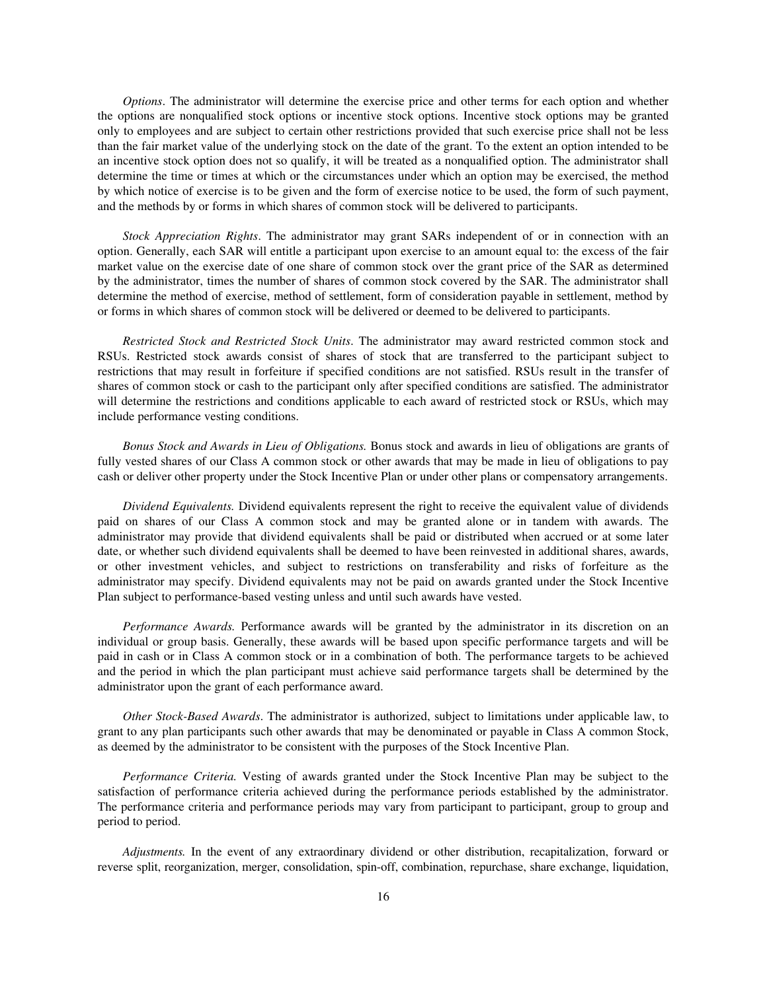*Options*. The administrator will determine the exercise price and other terms for each option and whether the options are nonqualified stock options or incentive stock options. Incentive stock options may be granted only to employees and are subject to certain other restrictions provided that such exercise price shall not be less than the fair market value of the underlying stock on the date of the grant. To the extent an option intended to be an incentive stock option does not so qualify, it will be treated as a nonqualified option. The administrator shall determine the time or times at which or the circumstances under which an option may be exercised, the method by which notice of exercise is to be given and the form of exercise notice to be used, the form of such payment, and the methods by or forms in which shares of common stock will be delivered to participants.

*Stock Appreciation Rights*. The administrator may grant SARs independent of or in connection with an option. Generally, each SAR will entitle a participant upon exercise to an amount equal to: the excess of the fair market value on the exercise date of one share of common stock over the grant price of the SAR as determined by the administrator, times the number of shares of common stock covered by the SAR. The administrator shall determine the method of exercise, method of settlement, form of consideration payable in settlement, method by or forms in which shares of common stock will be delivered or deemed to be delivered to participants.

*Restricted Stock and Restricted Stock Units*. The administrator may award restricted common stock and RSUs. Restricted stock awards consist of shares of stock that are transferred to the participant subject to restrictions that may result in forfeiture if specified conditions are not satisfied. RSUs result in the transfer of shares of common stock or cash to the participant only after specified conditions are satisfied. The administrator will determine the restrictions and conditions applicable to each award of restricted stock or RSUs, which may include performance vesting conditions.

*Bonus Stock and Awards in Lieu of Obligations.* Bonus stock and awards in lieu of obligations are grants of fully vested shares of our Class A common stock or other awards that may be made in lieu of obligations to pay cash or deliver other property under the Stock Incentive Plan or under other plans or compensatory arrangements.

*Dividend Equivalents.* Dividend equivalents represent the right to receive the equivalent value of dividends paid on shares of our Class A common stock and may be granted alone or in tandem with awards. The administrator may provide that dividend equivalents shall be paid or distributed when accrued or at some later date, or whether such dividend equivalents shall be deemed to have been reinvested in additional shares, awards, or other investment vehicles, and subject to restrictions on transferability and risks of forfeiture as the administrator may specify. Dividend equivalents may not be paid on awards granted under the Stock Incentive Plan subject to performance-based vesting unless and until such awards have vested.

*Performance Awards.* Performance awards will be granted by the administrator in its discretion on an individual or group basis. Generally, these awards will be based upon specific performance targets and will be paid in cash or in Class A common stock or in a combination of both. The performance targets to be achieved and the period in which the plan participant must achieve said performance targets shall be determined by the administrator upon the grant of each performance award.

*Other Stock-Based Awards*. The administrator is authorized, subject to limitations under applicable law, to grant to any plan participants such other awards that may be denominated or payable in Class A common Stock, as deemed by the administrator to be consistent with the purposes of the Stock Incentive Plan.

*Performance Criteria.* Vesting of awards granted under the Stock Incentive Plan may be subject to the satisfaction of performance criteria achieved during the performance periods established by the administrator. The performance criteria and performance periods may vary from participant to participant, group to group and period to period.

*Adjustments.* In the event of any extraordinary dividend or other distribution, recapitalization, forward or reverse split, reorganization, merger, consolidation, spin-off, combination, repurchase, share exchange, liquidation,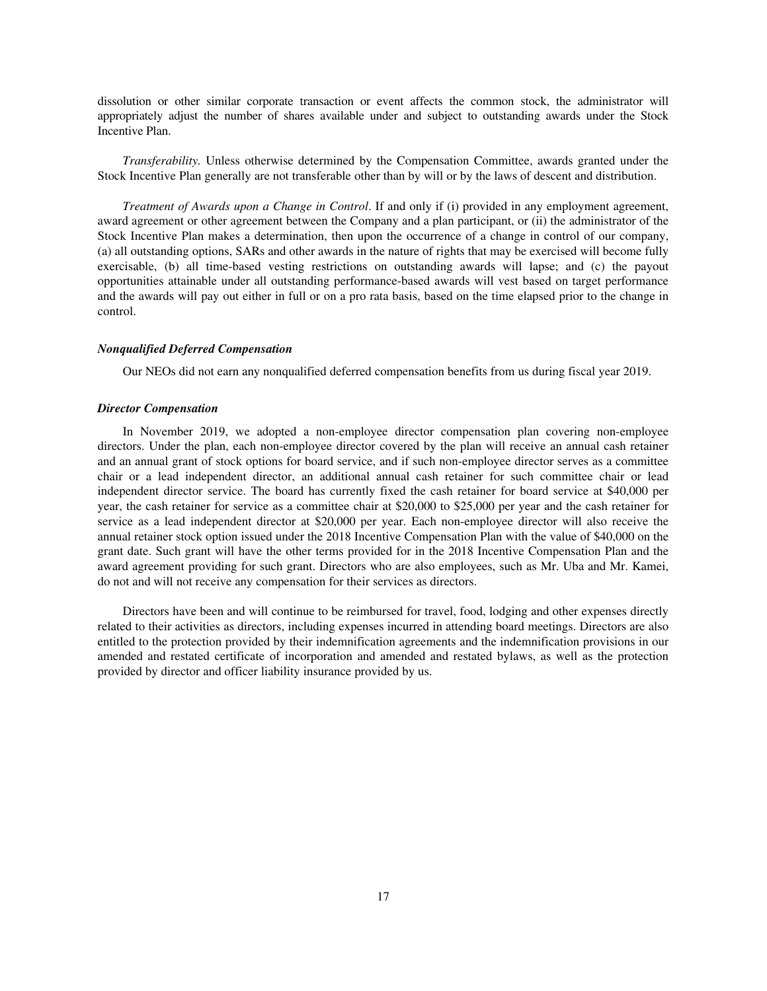dissolution or other similar corporate transaction or event affects the common stock, the administrator will appropriately adjust the number of shares available under and subject to outstanding awards under the Stock Incentive Plan.

*Transferability.* Unless otherwise determined by the Compensation Committee, awards granted under the Stock Incentive Plan generally are not transferable other than by will or by the laws of descent and distribution.

*Treatment of Awards upon a Change in Control*. If and only if (i) provided in any employment agreement, award agreement or other agreement between the Company and a plan participant, or (ii) the administrator of the Stock Incentive Plan makes a determination, then upon the occurrence of a change in control of our company, (a) all outstanding options, SARs and other awards in the nature of rights that may be exercised will become fully exercisable, (b) all time-based vesting restrictions on outstanding awards will lapse; and (c) the payout opportunities attainable under all outstanding performance-based awards will vest based on target performance and the awards will pay out either in full or on a pro rata basis, based on the time elapsed prior to the change in control.

### *Nonqualified Deferred Compensation*

Our NEOs did not earn any nonqualified deferred compensation benefits from us during fiscal year 2019.

### *Director Compensation*

In November 2019, we adopted a non-employee director compensation plan covering non-employee directors. Under the plan, each non-employee director covered by the plan will receive an annual cash retainer and an annual grant of stock options for board service, and if such non-employee director serves as a committee chair or a lead independent director, an additional annual cash retainer for such committee chair or lead independent director service. The board has currently fixed the cash retainer for board service at \$40,000 per year, the cash retainer for service as a committee chair at \$20,000 to \$25,000 per year and the cash retainer for service as a lead independent director at \$20,000 per year. Each non-employee director will also receive the annual retainer stock option issued under the 2018 Incentive Compensation Plan with the value of \$40,000 on the grant date. Such grant will have the other terms provided for in the 2018 Incentive Compensation Plan and the award agreement providing for such grant. Directors who are also employees, such as Mr. Uba and Mr. Kamei, do not and will not receive any compensation for their services as directors.

Directors have been and will continue to be reimbursed for travel, food, lodging and other expenses directly related to their activities as directors, including expenses incurred in attending board meetings. Directors are also entitled to the protection provided by their indemnification agreements and the indemnification provisions in our amended and restated certificate of incorporation and amended and restated bylaws, as well as the protection provided by director and officer liability insurance provided by us.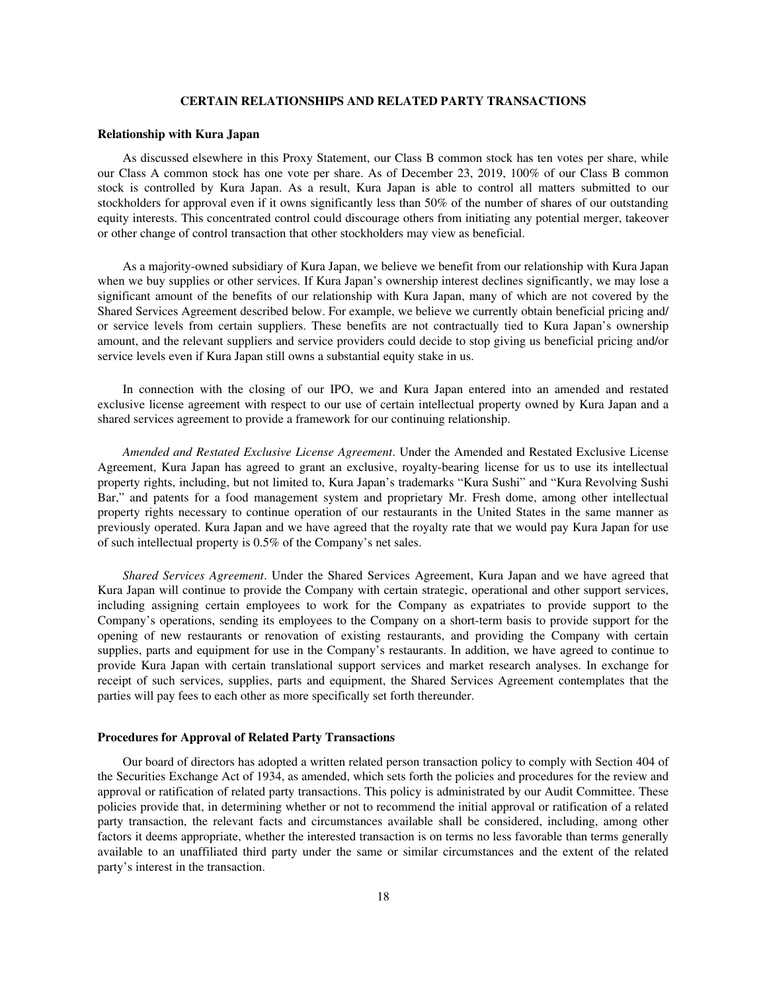### **CERTAIN RELATIONSHIPS AND RELATED PARTY TRANSACTIONS**

#### **Relationship with Kura Japan**

As discussed elsewhere in this Proxy Statement, our Class B common stock has ten votes per share, while our Class A common stock has one vote per share. As of December 23, 2019, 100% of our Class B common stock is controlled by Kura Japan. As a result, Kura Japan is able to control all matters submitted to our stockholders for approval even if it owns significantly less than 50% of the number of shares of our outstanding equity interests. This concentrated control could discourage others from initiating any potential merger, takeover or other change of control transaction that other stockholders may view as beneficial.

As a majority-owned subsidiary of Kura Japan, we believe we benefit from our relationship with Kura Japan when we buy supplies or other services. If Kura Japan's ownership interest declines significantly, we may lose a significant amount of the benefits of our relationship with Kura Japan, many of which are not covered by the Shared Services Agreement described below. For example, we believe we currently obtain beneficial pricing and/ or service levels from certain suppliers. These benefits are not contractually tied to Kura Japan's ownership amount, and the relevant suppliers and service providers could decide to stop giving us beneficial pricing and/or service levels even if Kura Japan still owns a substantial equity stake in us.

In connection with the closing of our IPO, we and Kura Japan entered into an amended and restated exclusive license agreement with respect to our use of certain intellectual property owned by Kura Japan and a shared services agreement to provide a framework for our continuing relationship.

*Amended and Restated Exclusive License Agreement*. Under the Amended and Restated Exclusive License Agreement, Kura Japan has agreed to grant an exclusive, royalty-bearing license for us to use its intellectual property rights, including, but not limited to, Kura Japan's trademarks "Kura Sushi" and "Kura Revolving Sushi Bar," and patents for a food management system and proprietary Mr. Fresh dome, among other intellectual property rights necessary to continue operation of our restaurants in the United States in the same manner as previously operated. Kura Japan and we have agreed that the royalty rate that we would pay Kura Japan for use of such intellectual property is 0.5% of the Company's net sales.

*Shared Services Agreement*. Under the Shared Services Agreement, Kura Japan and we have agreed that Kura Japan will continue to provide the Company with certain strategic, operational and other support services, including assigning certain employees to work for the Company as expatriates to provide support to the Company's operations, sending its employees to the Company on a short-term basis to provide support for the opening of new restaurants or renovation of existing restaurants, and providing the Company with certain supplies, parts and equipment for use in the Company's restaurants. In addition, we have agreed to continue to provide Kura Japan with certain translational support services and market research analyses. In exchange for receipt of such services, supplies, parts and equipment, the Shared Services Agreement contemplates that the parties will pay fees to each other as more specifically set forth thereunder.

### **Procedures for Approval of Related Party Transactions**

Our board of directors has adopted a written related person transaction policy to comply with Section 404 of the Securities Exchange Act of 1934, as amended, which sets forth the policies and procedures for the review and approval or ratification of related party transactions. This policy is administrated by our Audit Committee. These policies provide that, in determining whether or not to recommend the initial approval or ratification of a related party transaction, the relevant facts and circumstances available shall be considered, including, among other factors it deems appropriate, whether the interested transaction is on terms no less favorable than terms generally available to an unaffiliated third party under the same or similar circumstances and the extent of the related party's interest in the transaction.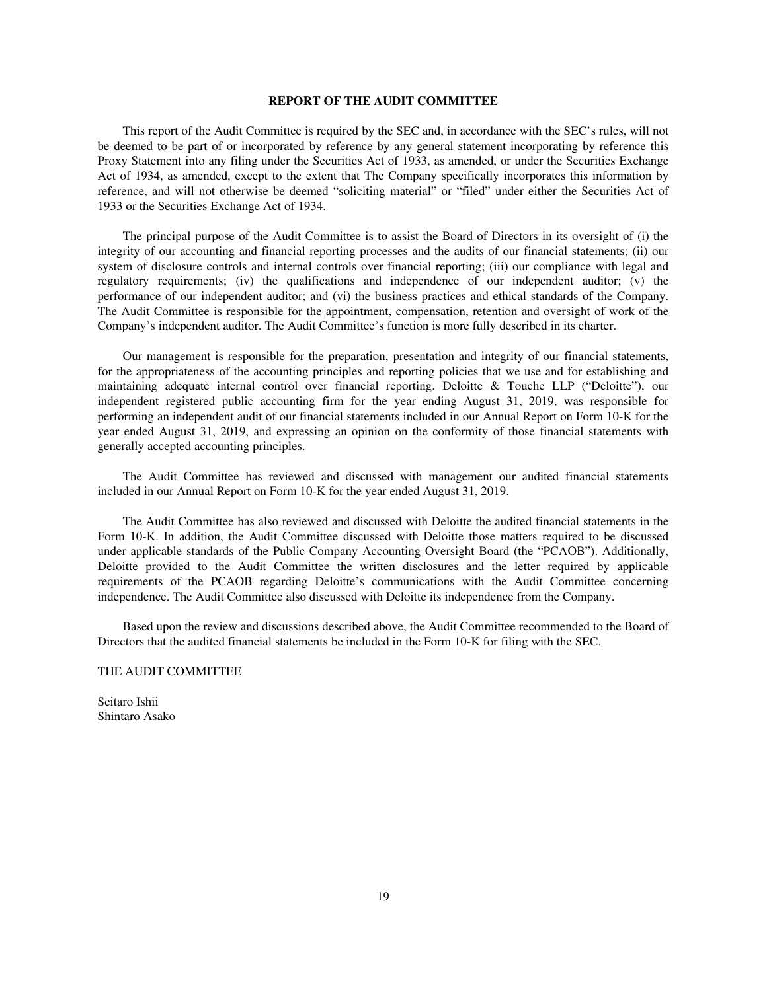### **REPORT OF THE AUDIT COMMITTEE**

This report of the Audit Committee is required by the SEC and, in accordance with the SEC's rules, will not be deemed to be part of or incorporated by reference by any general statement incorporating by reference this Proxy Statement into any filing under the Securities Act of 1933, as amended, or under the Securities Exchange Act of 1934, as amended, except to the extent that The Company specifically incorporates this information by reference, and will not otherwise be deemed "soliciting material" or "filed" under either the Securities Act of 1933 or the Securities Exchange Act of 1934.

The principal purpose of the Audit Committee is to assist the Board of Directors in its oversight of (i) the integrity of our accounting and financial reporting processes and the audits of our financial statements; (ii) our system of disclosure controls and internal controls over financial reporting; (iii) our compliance with legal and regulatory requirements; (iv) the qualifications and independence of our independent auditor; (v) the performance of our independent auditor; and (vi) the business practices and ethical standards of the Company. The Audit Committee is responsible for the appointment, compensation, retention and oversight of work of the Company's independent auditor. The Audit Committee's function is more fully described in its charter.

Our management is responsible for the preparation, presentation and integrity of our financial statements, for the appropriateness of the accounting principles and reporting policies that we use and for establishing and maintaining adequate internal control over financial reporting. Deloitte & Touche LLP ("Deloitte"), our independent registered public accounting firm for the year ending August 31, 2019, was responsible for performing an independent audit of our financial statements included in our Annual Report on Form 10-K for the year ended August 31, 2019, and expressing an opinion on the conformity of those financial statements with generally accepted accounting principles.

The Audit Committee has reviewed and discussed with management our audited financial statements included in our Annual Report on Form 10-K for the year ended August 31, 2019.

The Audit Committee has also reviewed and discussed with Deloitte the audited financial statements in the Form 10-K. In addition, the Audit Committee discussed with Deloitte those matters required to be discussed under applicable standards of the Public Company Accounting Oversight Board (the "PCAOB"). Additionally, Deloitte provided to the Audit Committee the written disclosures and the letter required by applicable requirements of the PCAOB regarding Deloitte's communications with the Audit Committee concerning independence. The Audit Committee also discussed with Deloitte its independence from the Company.

Based upon the review and discussions described above, the Audit Committee recommended to the Board of Directors that the audited financial statements be included in the Form 10-K for filing with the SEC.

### THE AUDIT COMMITTEE

Seitaro Ishii Shintaro Asako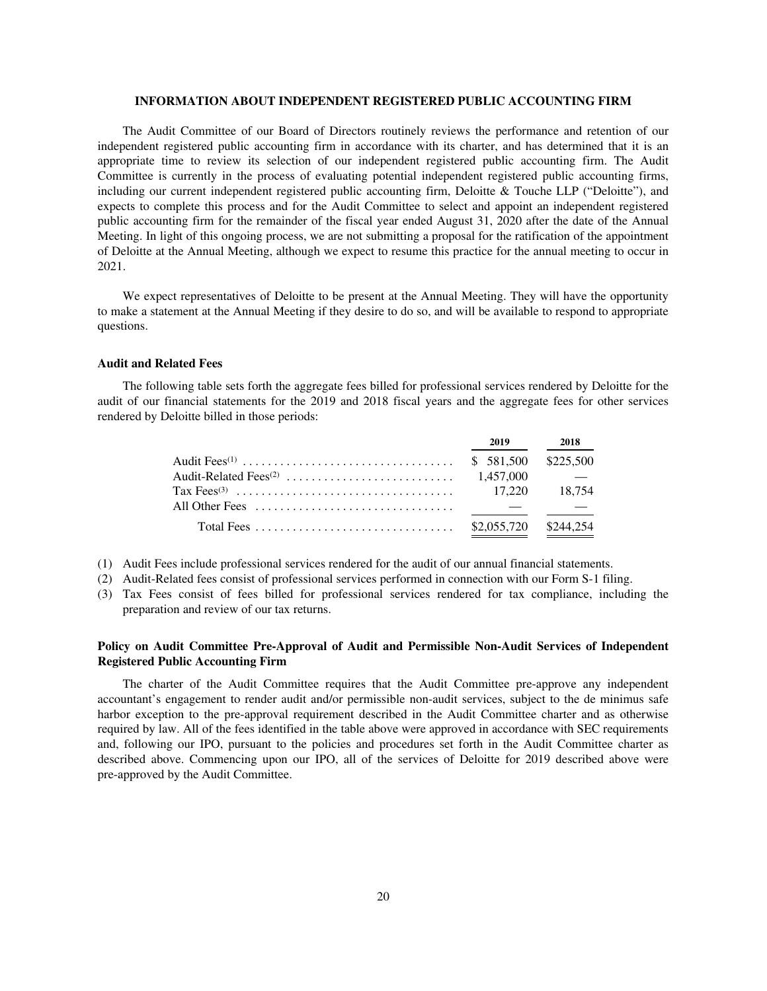### **INFORMATION ABOUT INDEPENDENT REGISTERED PUBLIC ACCOUNTING FIRM**

The Audit Committee of our Board of Directors routinely reviews the performance and retention of our independent registered public accounting firm in accordance with its charter, and has determined that it is an appropriate time to review its selection of our independent registered public accounting firm. The Audit Committee is currently in the process of evaluating potential independent registered public accounting firms, including our current independent registered public accounting firm, Deloitte & Touche LLP ("Deloitte"), and expects to complete this process and for the Audit Committee to select and appoint an independent registered public accounting firm for the remainder of the fiscal year ended August 31, 2020 after the date of the Annual Meeting. In light of this ongoing process, we are not submitting a proposal for the ratification of the appointment of Deloitte at the Annual Meeting, although we expect to resume this practice for the annual meeting to occur in 2021.

We expect representatives of Deloitte to be present at the Annual Meeting. They will have the opportunity to make a statement at the Annual Meeting if they desire to do so, and will be available to respond to appropriate questions.

## **Audit and Related Fees**

The following table sets forth the aggregate fees billed for professional services rendered by Deloitte for the audit of our financial statements for the 2019 and 2018 fiscal years and the aggregate fees for other services rendered by Deloitte billed in those periods:

| 2019                  | 2018 |
|-----------------------|------|
| $$581,500$ $$225,500$ |      |
|                       |      |
|                       |      |
|                       |      |
| \$2,055,720 \$244,254 |      |

(1) Audit Fees include professional services rendered for the audit of our annual financial statements.

- (2) Audit-Related fees consist of professional services performed in connection with our Form S-1 filing.
- (3) Tax Fees consist of fees billed for professional services rendered for tax compliance, including the preparation and review of our tax returns.

## **Policy on Audit Committee Pre-Approval of Audit and Permissible Non-Audit Services of Independent Registered Public Accounting Firm**

The charter of the Audit Committee requires that the Audit Committee pre-approve any independent accountant's engagement to render audit and/or permissible non-audit services, subject to the de minimus safe harbor exception to the pre-approval requirement described in the Audit Committee charter and as otherwise required by law. All of the fees identified in the table above were approved in accordance with SEC requirements and, following our IPO, pursuant to the policies and procedures set forth in the Audit Committee charter as described above. Commencing upon our IPO, all of the services of Deloitte for 2019 described above were pre-approved by the Audit Committee.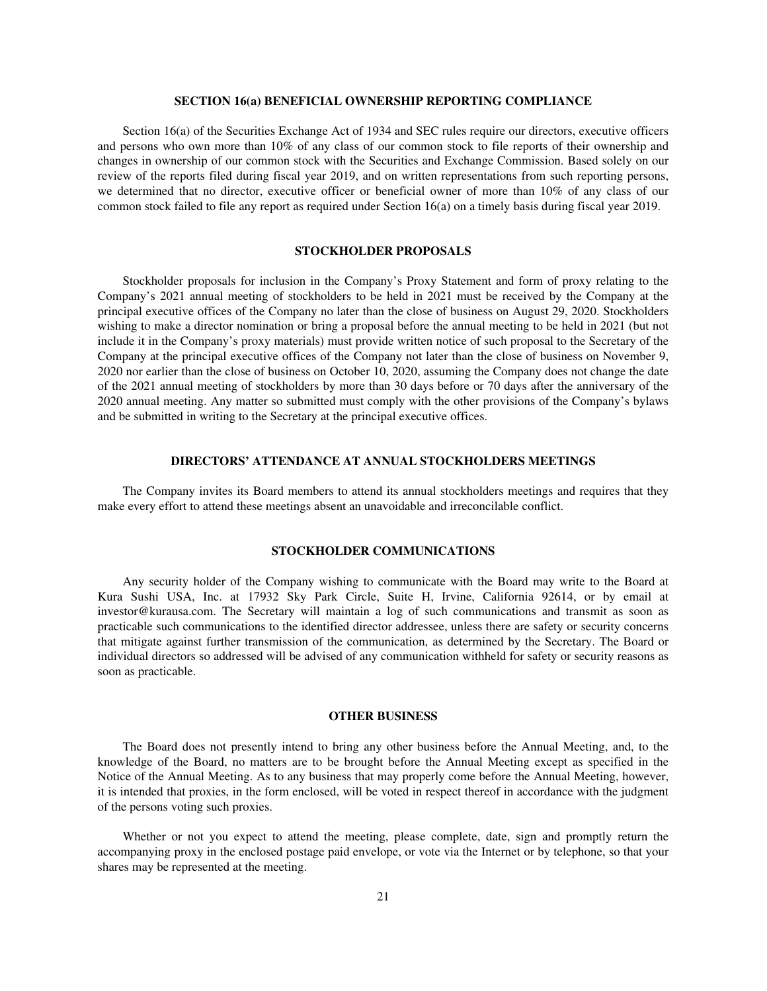### **SECTION 16(a) BENEFICIAL OWNERSHIP REPORTING COMPLIANCE**

Section 16(a) of the Securities Exchange Act of 1934 and SEC rules require our directors, executive officers and persons who own more than 10% of any class of our common stock to file reports of their ownership and changes in ownership of our common stock with the Securities and Exchange Commission. Based solely on our review of the reports filed during fiscal year 2019, and on written representations from such reporting persons, we determined that no director, executive officer or beneficial owner of more than 10% of any class of our common stock failed to file any report as required under Section 16(a) on a timely basis during fiscal year 2019.

### **STOCKHOLDER PROPOSALS**

Stockholder proposals for inclusion in the Company's Proxy Statement and form of proxy relating to the Company's 2021 annual meeting of stockholders to be held in 2021 must be received by the Company at the principal executive offices of the Company no later than the close of business on August 29, 2020. Stockholders wishing to make a director nomination or bring a proposal before the annual meeting to be held in 2021 (but not include it in the Company's proxy materials) must provide written notice of such proposal to the Secretary of the Company at the principal executive offices of the Company not later than the close of business on November 9, 2020 nor earlier than the close of business on October 10, 2020, assuming the Company does not change the date of the 2021 annual meeting of stockholders by more than 30 days before or 70 days after the anniversary of the 2020 annual meeting. Any matter so submitted must comply with the other provisions of the Company's bylaws and be submitted in writing to the Secretary at the principal executive offices.

### **DIRECTORS' ATTENDANCE AT ANNUAL STOCKHOLDERS MEETINGS**

The Company invites its Board members to attend its annual stockholders meetings and requires that they make every effort to attend these meetings absent an unavoidable and irreconcilable conflict.

## **STOCKHOLDER COMMUNICATIONS**

Any security holder of the Company wishing to communicate with the Board may write to the Board at Kura Sushi USA, Inc. at 17932 Sky Park Circle, Suite H, Irvine, California 92614, or by email at investor@kurausa.com. The Secretary will maintain a log of such communications and transmit as soon as practicable such communications to the identified director addressee, unless there are safety or security concerns that mitigate against further transmission of the communication, as determined by the Secretary. The Board or individual directors so addressed will be advised of any communication withheld for safety or security reasons as soon as practicable.

### **OTHER BUSINESS**

The Board does not presently intend to bring any other business before the Annual Meeting, and, to the knowledge of the Board, no matters are to be brought before the Annual Meeting except as specified in the Notice of the Annual Meeting. As to any business that may properly come before the Annual Meeting, however, it is intended that proxies, in the form enclosed, will be voted in respect thereof in accordance with the judgment of the persons voting such proxies.

Whether or not you expect to attend the meeting, please complete, date, sign and promptly return the accompanying proxy in the enclosed postage paid envelope, or vote via the Internet or by telephone, so that your shares may be represented at the meeting.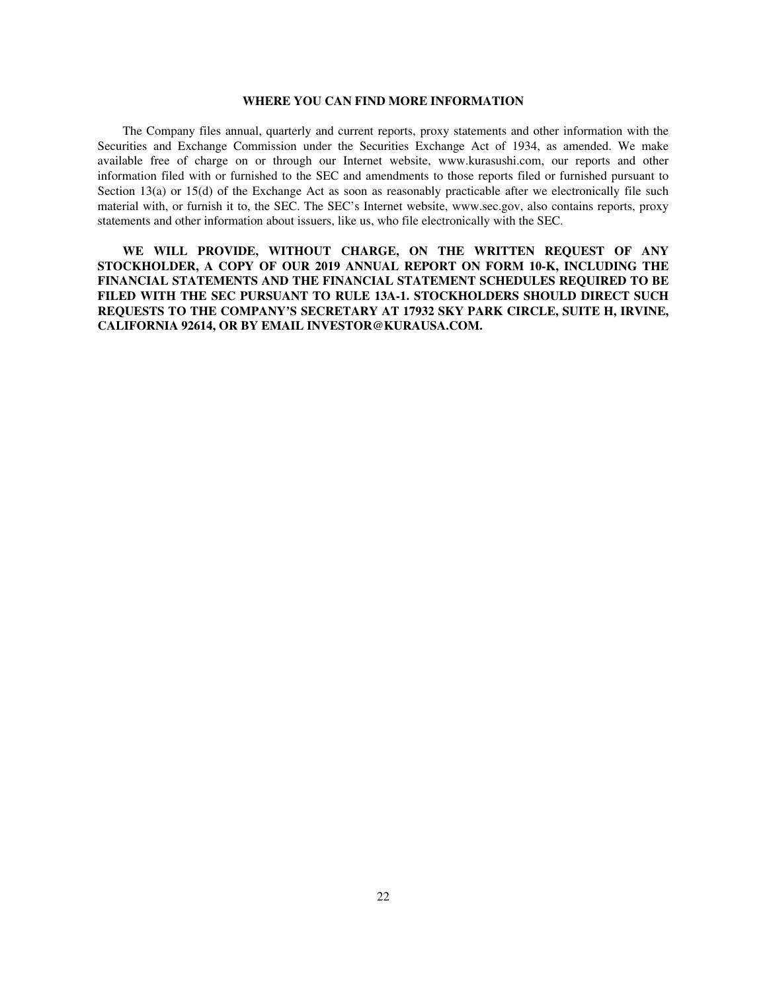### **WHERE YOU CAN FIND MORE INFORMATION**

The Company files annual, quarterly and current reports, proxy statements and other information with the Securities and Exchange Commission under the Securities Exchange Act of 1934, as amended. We make available free of charge on or through our Internet website, www.kurasushi.com, our reports and other information filed with or furnished to the SEC and amendments to those reports filed or furnished pursuant to Section 13(a) or 15(d) of the Exchange Act as soon as reasonably practicable after we electronically file such material with, or furnish it to, the SEC. The SEC's Internet website, www.sec.gov, also contains reports, proxy statements and other information about issuers, like us, who file electronically with the SEC.

**WE WILL PROVIDE, WITHOUT CHARGE, ON THE WRITTEN REQUEST OF ANY STOCKHOLDER, A COPY OF OUR 2019 ANNUAL REPORT ON FORM 10-K, INCLUDING THE FINANCIAL STATEMENTS AND THE FINANCIAL STATEMENT SCHEDULES REQUIRED TO BE FILED WITH THE SEC PURSUANT TO RULE 13A-1. STOCKHOLDERS SHOULD DIRECT SUCH REQUESTS TO THE COMPANY'S SECRETARY AT 17932 SKY PARK CIRCLE, SUITE H, IRVINE, CALIFORNIA 92614, OR BY EMAIL INVESTOR@KURAUSA.COM.**